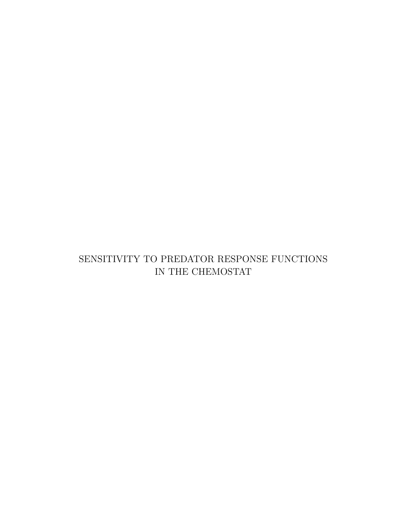#### SENSITIVITY TO PREDATOR RESPONSE FUNCTIONS IN THE CHEMOSTAT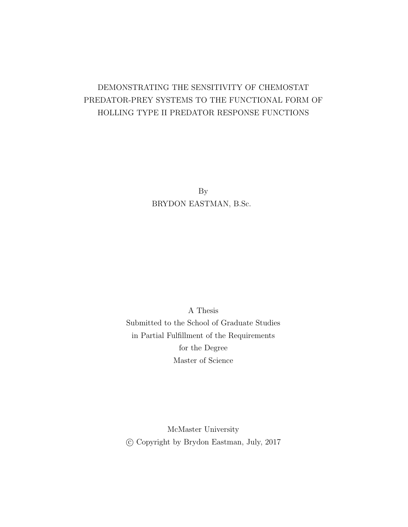#### DEMONSTRATING THE SENSITIVITY OF CHEMOSTAT PREDATOR-PREY SYSTEMS TO THE FUNCTIONAL FORM OF HOLLING TYPE II PREDATOR RESPONSE FUNCTIONS

By BRYDON EASTMAN, B.Sc.

A Thesis Submitted to the School of Graduate Studies in Partial Fulfillment of the Requirements for the Degree Master of Science

McMaster University c Copyright by Brydon Eastman, July, 2017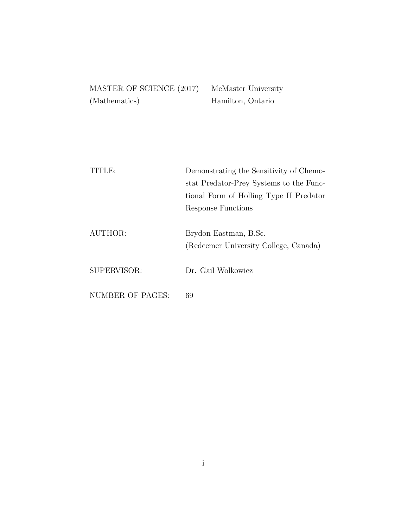| MASTER OF SCIENCE (2017) | McN |
|--------------------------|-----|
| (Mathematics)            | Ham |

Aaster University ilton, Ontario

| TITLE:           | Demonstrating the Sensitivity of Chemo- |
|------------------|-----------------------------------------|
|                  | stat Predator-Prey Systems to the Func- |
|                  | tional Form of Holling Type II Predator |
|                  | Response Functions                      |
|                  |                                         |
| AUTHOR:          | Brydon Eastman, B.Sc.                   |
|                  | (Redeemer University College, Canada)   |
|                  |                                         |
| SUPERVISOR:      | Dr. Gail Wolkowicz                      |
|                  |                                         |
| NUMBER OF PAGES: | 69                                      |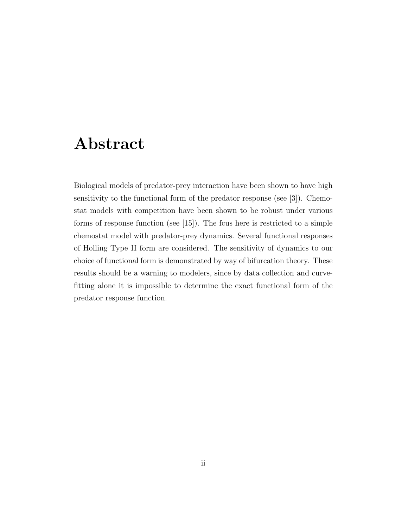### Abstract

Biological models of predator-prey interaction have been shown to have high sensitivity to the functional form of the predator response (see [3]). Chemostat models with competition have been shown to be robust under various forms of response function (see [15]). The fcus here is restricted to a simple chemostat model with predator-prey dynamics. Several functional responses of Holling Type II form are considered. The sensitivity of dynamics to our choice of functional form is demonstrated by way of bifurcation theory. These results should be a warning to modelers, since by data collection and curvefitting alone it is impossible to determine the exact functional form of the predator response function.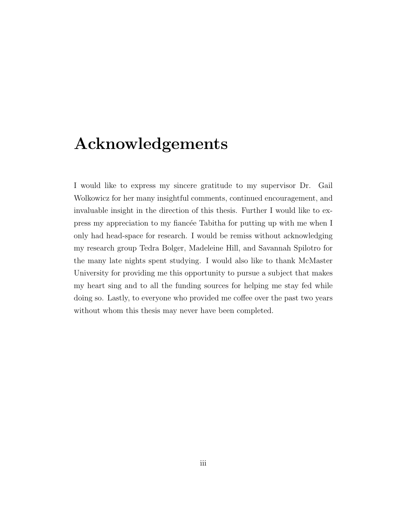### Acknowledgements

I would like to express my sincere gratitude to my supervisor Dr. Gail Wolkowicz for her many insightful comments, continued encouragement, and invaluable insight in the direction of this thesis. Further I would like to express my appreciation to my fiancée Tabitha for putting up with me when I only had head-space for research. I would be remiss without acknowledging my research group Tedra Bolger, Madeleine Hill, and Savannah Spilotro for the many late nights spent studying. I would also like to thank McMaster University for providing me this opportunity to pursue a subject that makes my heart sing and to all the funding sources for helping me stay fed while doing so. Lastly, to everyone who provided me coffee over the past two years without whom this thesis may never have been completed.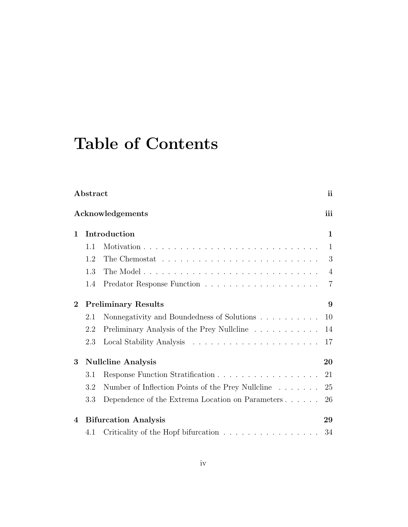# Table of Contents

|          | Abstract |                                                   | ii             |
|----------|----------|---------------------------------------------------|----------------|
|          |          | Acknowledgements                                  | iii            |
| 1        |          | Introduction                                      | 1              |
|          | 1.1      |                                                   | 1              |
|          | 1.2      |                                                   | 3              |
|          | 1.3      |                                                   | $\overline{4}$ |
|          | 1.4      |                                                   | $\overline{7}$ |
| $\bf{2}$ |          | <b>Preliminary Results</b>                        | 9              |
|          | 2.1      | Nonnegativity and Boundedness of Solutions        | 10             |
|          | 2.2      | Preliminary Analysis of the Prey Nullcline        | 14             |
|          | 2.3      |                                                   | 17             |
| 3        |          | <b>Nullcline Analysis</b>                         | 20             |
|          | 3.1      | Response Function Stratification                  | 21             |
|          | 3.2      | Number of Inflection Points of the Prey Nullcline | 25             |
|          | 3.3      | Dependence of the Extrema Location on Parameters  | 26             |
| 4        |          | <b>Bifurcation Analysis</b>                       | 29             |
|          | 4.1      | Criticality of the Hopf bifurcation               | 34             |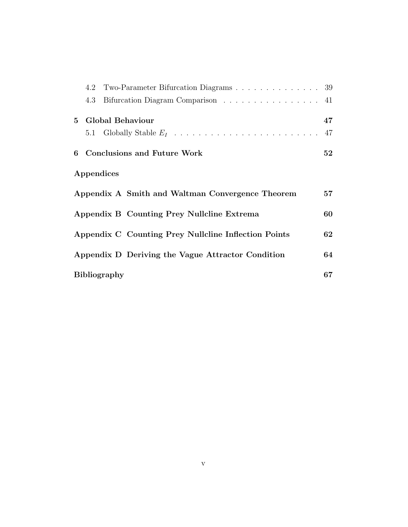|     | 4.2 Two-Parameter Bifurcation Diagrams 39            |    |
|-----|------------------------------------------------------|----|
| 4.3 | Bifurcation Diagram Comparison 41                    |    |
|     | 5 Global Behaviour                                   | 47 |
|     |                                                      | 47 |
|     | 6 Conclusions and Future Work                        | 52 |
|     | Appendices                                           |    |
|     | Appendix A Smith and Waltman Convergence Theorem     | 57 |
|     | Appendix B Counting Prey Nullcline Extrema           | 60 |
|     | Appendix C Counting Prey Nullcline Inflection Points | 62 |
|     | Appendix D Deriving the Vague Attractor Condition    | 64 |
|     | <b>Bibliography</b>                                  | 67 |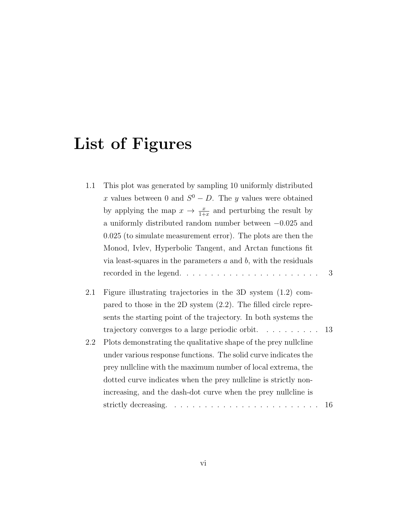# List of Figures

| 1.1 | This plot was generated by sampling 10 uniformly distributed              |   |
|-----|---------------------------------------------------------------------------|---|
|     | x values between 0 and $S^0 - D$ . The y values were obtained             |   |
|     | by applying the map $x \to \frac{x}{1+x}$ and perturbing the result by    |   |
|     | a uniformly distributed random number between $-0.025$ and                |   |
|     | $0.025$ (to simulate measurement error). The plots are then the           |   |
|     | Monod, Ivley, Hyperbolic Tangent, and Arctan functions fit                |   |
|     | via least-squares in the parameters $a$ and $b$ , with the residuals      |   |
|     |                                                                           | 3 |
| 2.1 | Figure illustrating trajectories in the 3D system $(1.2)$ com-            |   |
|     | pared to those in the 2D system $(2.2)$ . The filled circle repre-        |   |
|     | sents the starting point of the trajectory. In both systems the           |   |
|     | trajectory converges to a large periodic orbit. $\ldots \ldots \ldots 13$ |   |

2.2 Plots demonstrating the qualitative shape of the prey nullcline under various response functions. The solid curve indicates the prey nullcline with the maximum number of local extrema, the dotted curve indicates when the prey nullcline is strictly nonincreasing, and the dash-dot curve when the prey nullcline is strictly decreasing. . . . . . . . . . . . . . . . . . . . . . . . . 16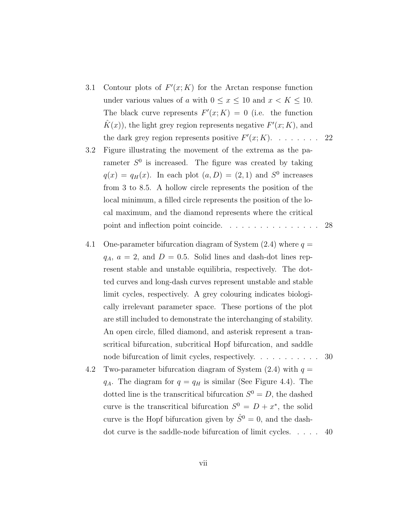- 3.1 Contour plots of  $F'(x; K)$  for the Arctan response function under various values of a with  $0 \le x \le 10$  and  $x < K \le 10$ . The black curve represents  $F'(x; K) = 0$  (i.e. the function  $\hat{K}(x)$ , the light grey region represents negative  $F'(x; K)$ , and the dark grey region represents positive  $F'(x; K)$ . . . . . . . . 22
- 3.2 Figure illustrating the movement of the extrema as the parameter  $S^0$  is increased. The figure was created by taking  $q(x) = q_H(x)$ . In each plot  $(a, D) = (2, 1)$  and  $S^0$  increases from 3 to 8.5. A hollow circle represents the position of the local minimum, a filled circle represents the position of the local maximum, and the diamond represents where the critical point and inflection point coincide. . . . . . . . . . . . . . . 28
- 4.1 One-parameter bifurcation diagram of System  $(2.4)$  where  $q =$  $q_A$ ,  $a = 2$ , and  $D = 0.5$ . Solid lines and dash-dot lines represent stable and unstable equilibria, respectively. The dotted curves and long-dash curves represent unstable and stable limit cycles, respectively. A grey colouring indicates biologically irrelevant parameter space. These portions of the plot are still included to demonstrate the interchanging of stability. An open circle, filled diamond, and asterisk represent a transcritical bifurcation, subcritical Hopf bifurcation, and saddle node bifurcation of limit cycles, respectively. . . . . . . . . . . 30
- 4.2 Two-parameter bifurcation diagram of System  $(2.4)$  with  $q =$  $q_A$ . The diagram for  $q = q_H$  is similar (See Figure 4.4). The dotted line is the transcritical bifurcation  $S^0 = D$ , the dashed curve is the transcritical bifurcation  $S^0 = D + x^*$ , the solid curve is the Hopf bifurcation given by  $\hat{S}^0 = 0$ , and the dashdot curve is the saddle-node bifurcation of limit cycles. . . . . 40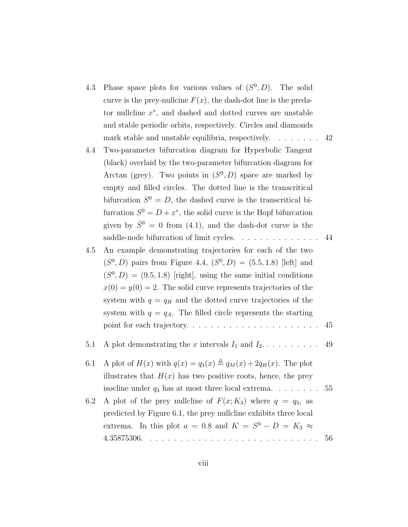- 4.3 Phase space plots for various values of  $(S^0, D)$ . The solid curve is the prey-nullcine  $F(x)$ , the dash-dot line is the predator nullcline  $x^*$ , and dashed and dotted curves are unstable and stable periodic orbits, respectively. Circles and diamonds mark stable and unstable equilibria, respectively. . . . . . . . 42
- 4.4 Two-parameter bifurcation diagram for Hyperbolic Tangent (black) overlaid by the two-parameter bifurcation diagram for Arctan (grey). Two points in  $(S^0, D)$  space are marked by empty and filled circles. The dotted line is the transcritical bifurcation  $S^0 = D$ , the dashed curve is the transcritical bifurcation  $S^0 = D + x^*$ , the solid curve is the Hopf bifurcation given by  $\hat{S}^0 = 0$  from (4.1), and the dash-dot curve is the saddle-node bifurcation of limit cycles. . . . . . . . . . . . . . 44
- 4.5 An example demonstrating trajectories for each of the two  $(S^{0}, D)$  pairs from Figure 4.4,  $(S^{0}, D) = (5.5, 1.8)$  [left] and  $(S^{0}, D) = (9.5, 1.8)$  [right], using the same initial conditions  $x(0) = y(0) = 2$ . The solid curve represents trajectories of the system with  $q = q_H$  and the dotted curve trajectories of the system with  $q = q_A$ . The filled circle represents the starting point for each trajectory. . . . . . . . . . . . . . . . . . . . . . 45

5.1 A plot demonstrating the x intervals I<sup>1</sup> and I2. . . . . . . . . . 49

- 6.1 A plot of  $H(x)$  with  $q(x) = q_3(x) \triangleq q_M(x) + 2q_H(x)$ . The plot illustrates that  $H(x)$  has two positive roots, hence, the prey isocline under  $q_3$  has at most three local extrema. . . . . . . . . 55
- 6.2 A plot of the prey nullcline of  $F(x; K_3)$  where  $q = q_3$ , as predicted by Figure 6.1, the prey nullcline exhibits three local extrema. In this plot  $a = 0.8$  and  $K = S^0 - D = K_3 \approx$ 4.35875306. . . . . . . . . . . . . . . . . . . . . . . . . . . . . 56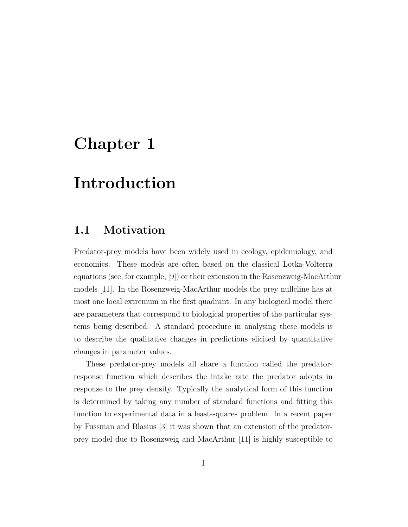# Chapter 1

### Introduction

#### 1.1 Motivation

Predator-prey models have been widely used in ecology, epidemiology, and economics. These models are often based on the classical Lotka-Volterra equations (see, for example, [9]) or their extension in the Rosenzweig-MacArthur models [11]. In the Rosenzweig-MacArthur models the prey nullcline has at most one local extremum in the first quadrant. In any biological model there are parameters that correspond to biological properties of the particular systems being described. A standard procedure in analysing these models is to describe the qualitative changes in predictions elicited by quantitative changes in parameter values.

These predator-prey models all share a function called the predatorresponse function which describes the intake rate the predator adopts in response to the prey density. Typically the analytical form of this function is determined by taking any number of standard functions and fitting this function to experimental data in a least-squares problem. In a recent paper by Fussman and Blasius [3] it was shown that an extension of the predatorprey model due to Rosenzweig and MacArthur [11] is highly susceptible to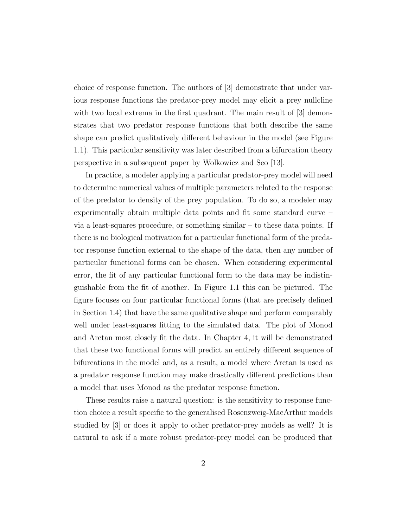choice of response function. The authors of [3] demonstrate that under various response functions the predator-prey model may elicit a prey nullcline with two local extrema in the first quadrant. The main result of [3] demonstrates that two predator response functions that both describe the same shape can predict qualitatively different behaviour in the model (see Figure 1.1). This particular sensitivity was later described from a bifurcation theory perspective in a subsequent paper by Wolkowicz and Seo [13].

In practice, a modeler applying a particular predator-prey model will need to determine numerical values of multiple parameters related to the response of the predator to density of the prey population. To do so, a modeler may experimentally obtain multiple data points and fit some standard curve – via a least-squares procedure, or something similar – to these data points. If there is no biological motivation for a particular functional form of the predator response function external to the shape of the data, then any number of particular functional forms can be chosen. When considering experimental error, the fit of any particular functional form to the data may be indistinguishable from the fit of another. In Figure 1.1 this can be pictured. The figure focuses on four particular functional forms (that are precisely defined in Section 1.4) that have the same qualitative shape and perform comparably well under least-squares fitting to the simulated data. The plot of Monod and Arctan most closely fit the data. In Chapter 4, it will be demonstrated that these two functional forms will predict an entirely different sequence of bifurcations in the model and, as a result, a model where Arctan is used as a predator response function may make drastically different predictions than a model that uses Monod as the predator response function.

These results raise a natural question: is the sensitivity to response function choice a result specific to the generalised Rosenzweig-MacArthur models studied by [3] or does it apply to other predator-prey models as well? It is natural to ask if a more robust predator-prey model can be produced that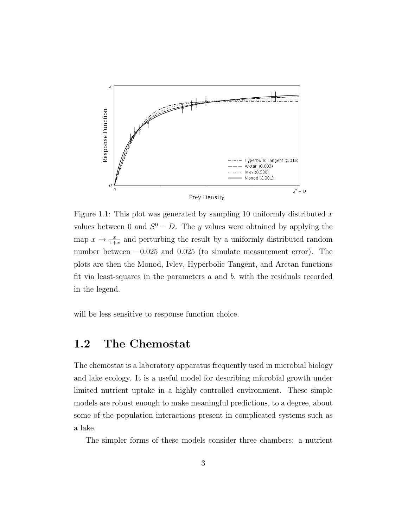

Figure 1.1: This plot was generated by sampling 10 uniformly distributed  $x$ values between 0 and  $S^0 - D$ . The y values were obtained by applying the map  $x \to \frac{x}{1+x}$  and perturbing the result by a uniformly distributed random number between −0.025 and 0.025 (to simulate measurement error). The plots are then the Monod, Ivlev, Hyperbolic Tangent, and Arctan functions fit via least-squares in the parameters  $a$  and  $b$ , with the residuals recorded in the legend.

will be less sensitive to response function choice.

#### 1.2 The Chemostat

The chemostat is a laboratory apparatus frequently used in microbial biology and lake ecology. It is a useful model for describing microbial growth under limited nutrient uptake in a highly controlled environment. These simple models are robust enough to make meaningful predictions, to a degree, about some of the population interactions present in complicated systems such as a lake.

The simpler forms of these models consider three chambers: a nutrient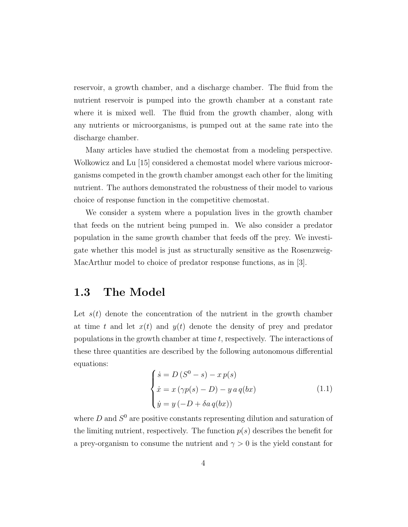reservoir, a growth chamber, and a discharge chamber. The fluid from the nutrient reservoir is pumped into the growth chamber at a constant rate where it is mixed well. The fluid from the growth chamber, along with any nutrients or microorganisms, is pumped out at the same rate into the discharge chamber.

Many articles have studied the chemostat from a modeling perspective. Wolkowicz and Lu [15] considered a chemostat model where various microorganisms competed in the growth chamber amongst each other for the limiting nutrient. The authors demonstrated the robustness of their model to various choice of response function in the competitive chemostat.

We consider a system where a population lives in the growth chamber that feeds on the nutrient being pumped in. We also consider a predator population in the same growth chamber that feeds off the prey. We investigate whether this model is just as structurally sensitive as the Rosenzweig-MacArthur model to choice of predator response functions, as in [3].

#### 1.3 The Model

Let  $s(t)$  denote the concentration of the nutrient in the growth chamber at time t and let  $x(t)$  and  $y(t)$  denote the density of prey and predator populations in the growth chamber at time  $t$ , respectively. The interactions of these three quantities are described by the following autonomous differential equations:

$$
\begin{cases}\n\dot{s} = D (S^0 - s) - x p(s) \\
\dot{x} = x (\gamma p(s) - D) - y a q(bx) \\
\dot{y} = y (-D + \delta a q(bx))\n\end{cases}
$$
\n(1.1)

where  $D$  and  $S^0$  are positive constants representing dilution and saturation of the limiting nutrient, respectively. The function  $p(s)$  describes the benefit for a prey-organism to consume the nutrient and  $\gamma > 0$  is the yield constant for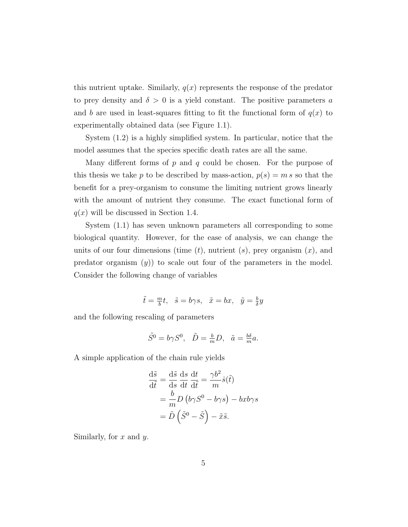this nutrient uptake. Similarly,  $q(x)$  represents the response of the predator to prey density and  $\delta > 0$  is a yield constant. The positive parameters a and b are used in least-squares fitting to fit the functional form of  $q(x)$  to experimentally obtained data (see Figure 1.1).

System (1.2) is a highly simplified system. In particular, notice that the model assumes that the species specific death rates are all the same.

Many different forms of  $p$  and  $q$  could be chosen. For the purpose of this thesis we take p to be described by mass-action,  $p(s) = m s$  so that the benefit for a prey-organism to consume the limiting nutrient grows linearly with the amount of nutrient they consume. The exact functional form of  $q(x)$  will be discussed in Section 1.4.

System (1.1) has seven unknown parameters all corresponding to some biological quantity. However, for the ease of analysis, we can change the units of our four dimensions (time  $(t)$ , nutrient  $(s)$ , prey organism  $(x)$ , and predator organism  $(y)$  to scale out four of the parameters in the model. Consider the following change of variables

$$
\tilde{t} = \frac{m}{b}t, \quad \tilde{s} = b\gamma s, \quad \tilde{x} = bx, \quad \tilde{y} = \frac{b}{\delta}y
$$

and the following rescaling of parameters

$$
\tilde{S}^0 = b\gamma S^0, \quad \tilde{D} = \frac{b}{m}D, \quad \tilde{a} = \frac{b\delta}{m}a.
$$

A simple application of the chain rule yields

$$
\frac{d\tilde{s}}{d\tilde{t}} = \frac{d\tilde{s}}{ds} \frac{ds}{dt} \frac{dt}{d\tilde{t}} = \frac{\gamma b^2}{m} \dot{s}(\tilde{t})
$$

$$
= \frac{b}{m} D (b\gamma S^0 - b\gamma s) - bx b\gamma s
$$

$$
= \tilde{D} (\tilde{S}^0 - \tilde{S}) - \tilde{x}\tilde{s}.
$$

Similarly, for  $x$  and  $y$ .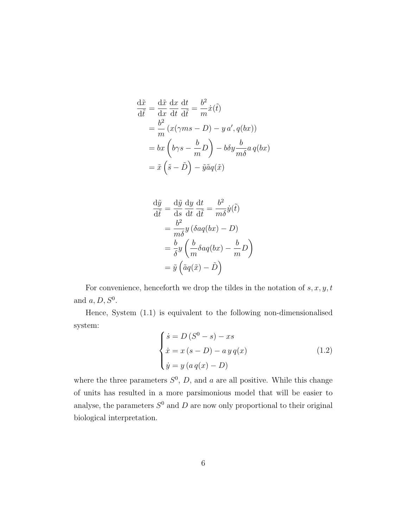$$
\frac{d\tilde{x}}{d\tilde{t}} = \frac{d\tilde{x}}{dx} \frac{dx}{dt} \frac{dt}{d\tilde{t}} = \frac{b^2}{m} \dot{x}(\tilde{t})
$$
  
\n
$$
= \frac{b^2}{m} (x(\gamma ms - D) - y a', q(bx))
$$
  
\n
$$
= bx \left(b\gamma s - \frac{b}{m}D\right) - b\delta y \frac{b}{m\delta} a q(bx)
$$
  
\n
$$
= \tilde{x} \left(\tilde{s} - \tilde{D}\right) - \tilde{y}\tilde{a}q(\tilde{x})
$$

$$
\frac{d\tilde{y}}{d\tilde{t}} = \frac{d\tilde{y}}{ds} \frac{dy}{dt} \frac{dt}{d\tilde{t}} = \frac{b^2}{m\delta} \dot{y}(\tilde{t})
$$

$$
= \frac{b^2}{m\delta} y \left( \delta a q(bx) - D \right)
$$

$$
= \frac{b}{\delta} y \left( \frac{b}{m} \delta a q(bx) - \frac{b}{m} D \right)
$$

$$
= \tilde{y} \left( \tilde{a} q(\tilde{x}) - \tilde{D} \right)
$$

For convenience, henceforth we drop the tildes in the notation of  $s, x, y, t$ and  $a, D, S^0$ .

Hence, System (1.1) is equivalent to the following non-dimensionalised system:

$$
\begin{cases}\n\dot{s} = D(S^0 - s) - xs \\
\dot{x} = x(s - D) - ayq(x) \\
\dot{y} = y(aq(x) - D)\n\end{cases}
$$
\n(1.2)

where the three parameters  $S^0$ , D, and a are all positive. While this change of units has resulted in a more parsimonious model that will be easier to analyse, the parameters  $S^0$  and D are now only proportional to their original biological interpretation.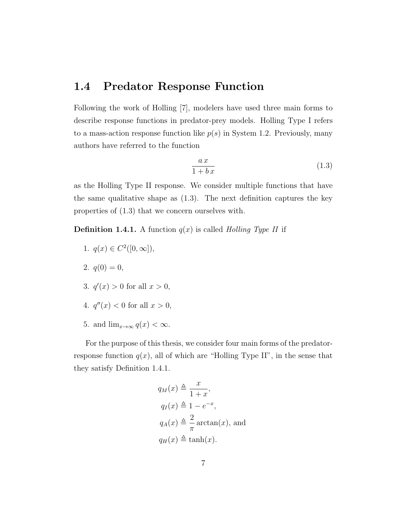#### 1.4 Predator Response Function

Following the work of Holling [7], modelers have used three main forms to describe response functions in predator-prey models. Holling Type I refers to a mass-action response function like  $p(s)$  in System 1.2. Previously, many authors have referred to the function

$$
\frac{ax}{1+b\,x}\tag{1.3}
$$

as the Holling Type II response. We consider multiple functions that have the same qualitative shape as (1.3). The next definition captures the key properties of (1.3) that we concern ourselves with.

**Definition 1.4.1.** A function  $q(x)$  is called *Holling Type II* if

- 1.  $q(x) \in C^2([0,\infty]),$
- 2.  $q(0) = 0$ ,
- 3.  $q'(x) > 0$  for all  $x > 0$ ,
- 4.  $q''(x) < 0$  for all  $x > 0$ ,
- 5. and  $\lim_{x\to\infty} q(x) < \infty$ .

For the purpose of this thesis, we consider four main forms of the predatorresponse function  $q(x)$ , all of which are "Holling Type II", in the sense that they satisfy Definition 1.4.1.

$$
q_M(x) \triangleq \frac{x}{1+x},
$$
  
\n
$$
q_I(x) \triangleq 1 - e^{-x},
$$
  
\n
$$
q_A(x) \triangleq \frac{2}{\pi} \arctan(x),
$$
 and  
\n
$$
q_H(x) \triangleq \tanh(x).
$$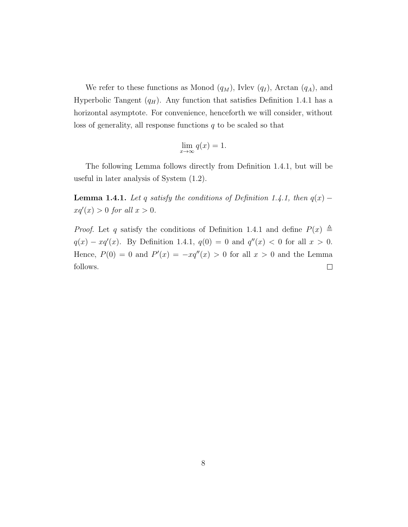We refer to these functions as Monod  $(q_M)$ , Ivlev  $(q_I)$ , Arctan  $(q_A)$ , and Hyperbolic Tangent  $(q_H)$ . Any function that satisfies Definition 1.4.1 has a horizontal asymptote. For convenience, henceforth we will consider, without loss of generality, all response functions  $q$  to be scaled so that

$$
\lim_{x \to \infty} q(x) = 1.
$$

The following Lemma follows directly from Definition 1.4.1, but will be useful in later analysis of System (1.2).

**Lemma 1.4.1.** Let q satisfy the conditions of Definition 1.4.1, then  $q(x)$  –  $xq'(x) > 0$  for all  $x > 0$ .

*Proof.* Let q satisfy the conditions of Definition 1.4.1 and define  $P(x) \triangleq$  $q(x) - xq'(x)$ . By Definition 1.4.1,  $q(0) = 0$  and  $q''(x) < 0$  for all  $x > 0$ . Hence,  $P(0) = 0$  and  $P'(x) = -xq''(x) > 0$  for all  $x > 0$  and the Lemma follows.  $\Box$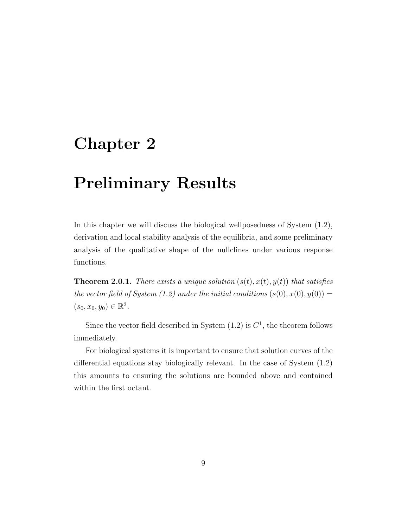## Chapter 2

### Preliminary Results

In this chapter we will discuss the biological wellposedness of System (1.2), derivation and local stability analysis of the equilibria, and some preliminary analysis of the qualitative shape of the nullclines under various response functions.

**Theorem 2.0.1.** There exists a unique solution  $(s(t), x(t), y(t))$  that satisfies the vector field of System (1.2) under the initial conditions  $(s(0), x(0), y(0)) =$  $(s_0, x_0, y_0) \in \mathbb{R}^3$ .

Since the vector field described in System  $(1.2)$  is  $C<sup>1</sup>$ , the theorem follows immediately.

For biological systems it is important to ensure that solution curves of the differential equations stay biologically relevant. In the case of System (1.2) this amounts to ensuring the solutions are bounded above and contained within the first octant.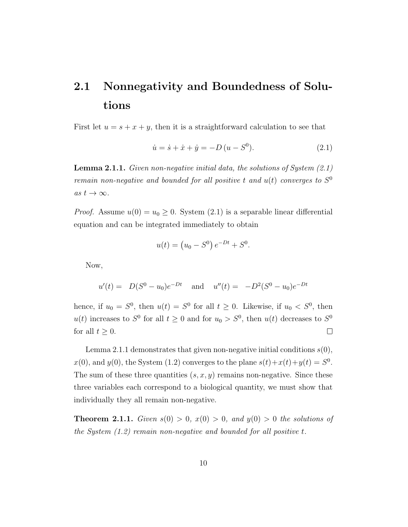### 2.1 Nonnegativity and Boundedness of Solutions

First let  $u = s + x + y$ , then it is a straightforward calculation to see that

$$
\dot{u} = \dot{s} + \dot{x} + \dot{y} = -D(u - S^{0}).
$$
\n(2.1)

**Lemma 2.1.1.** Given non-negative initial data, the solutions of System  $(2.1)$ remain non-negative and bounded for all positive t and  $u(t)$  converges to  $S^0$ as  $t \to \infty$ .

*Proof.* Assume  $u(0) = u_0 \ge 0$ . System (2.1) is a separable linear differential equation and can be integrated immediately to obtain

$$
u(t) = (u_0 - S^0) e^{-Dt} + S^0.
$$

Now,

$$
u'(t) = D(S^0 - u_0)e^{-Dt}
$$
 and  $u''(t) = -D^2(S^0 - u_0)e^{-Dt}$ 

hence, if  $u_0 = S^0$ , then  $u(t) = S^0$  for all  $t \geq 0$ . Likewise, if  $u_0 < S^0$ , then  $u(t)$  increases to  $S^0$  for all  $t \geq 0$  and for  $u_0 > S^0$ , then  $u(t)$  decreases to  $S^0$ for all  $t \geq 0$ .  $\Box$ 

Lemma 2.1.1 demonstrates that given non-negative initial conditions  $s(0)$ ,  $x(0)$ , and  $y(0)$ , the System (1.2) converges to the plane  $s(t)+x(t)+y(t) = S^0$ . The sum of these three quantities  $(s, x, y)$  remains non-negative. Since these three variables each correspond to a biological quantity, we must show that individually they all remain non-negative.

**Theorem 2.1.1.** Given  $s(0) > 0$ ,  $x(0) > 0$ , and  $y(0) > 0$  the solutions of the System (1.2) remain non-negative and bounded for all positive t.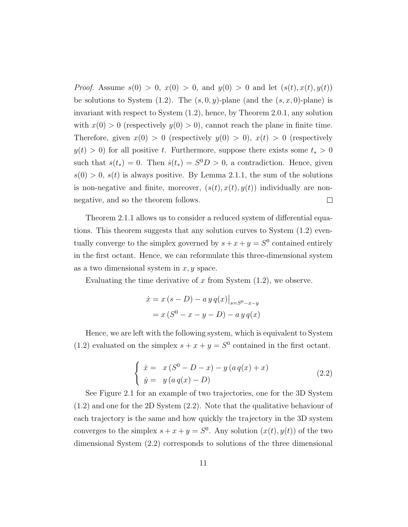*Proof.* Assume  $s(0) > 0$ ,  $x(0) > 0$ , and  $y(0) > 0$  and let  $(s(t), x(t), y(t))$ be solutions to System (1.2). The  $(s, 0, y)$ -plane (and the  $(s, x, 0)$ -plane) is invariant with respect to System (1.2), hence, by Theorem 2.0.1, any solution with  $x(0) > 0$  (respectively  $y(0) > 0$ ), cannot reach the plane in finite time. Therefore, given  $x(0) > 0$  (respectively  $y(0) > 0$ ),  $x(t) > 0$  (respectively  $y(t) > 0$  for all positive t. Furthermore, suppose there exists some  $t_* > 0$ such that  $s(t_*) = 0$ . Then  $\dot{s}(t_*) = S^0 D > 0$ , a contradiction. Hence, given  $s(0) > 0$ ,  $s(t)$  is always positive. By Lemma 2.1.1, the sum of the solutions is non-negative and finite, moreover,  $(s(t), x(t), y(t))$  individually are non- $\Box$ negative, and so the theorem follows.

Theorem 2.1.1 allows us to consider a reduced system of differential equations. This theorem suggests that any solution curves to System (1.2) eventually converge to the simplex governed by  $s + x + y = S^0$  contained entirely in the first octant. Hence, we can reformulate this three-dimensional system as a two dimensional system in  $x, y$  space.

Evaluating the time derivative of x from System  $(1.2)$ , we observe.

$$
\dot{x} = x (s - D) - a y q(x)|_{s = S^{0} - x - y}
$$

$$
= x (S^{0} - x - y - D) - a y q(x)
$$

Hence, we are left with the following system, which is equivalent to System (1.2) evaluated on the simplex  $s + x + y = S^0$  contained in the first octant.

$$
\begin{cases}\n\dot{x} = x (S^0 - D - x) - y (a q(x) + x) \\
\dot{y} = y (a q(x) - D)\n\end{cases}
$$
\n(2.2)

See Figure 2.1 for an example of two trajectories, one for the 3D System (1.2) and one for the 2D System (2.2). Note that the qualitative behaviour of each trajectory is the same and how quickly the trajectory in the 3D system converges to the simplex  $s + x + y = S^0$ . Any solution  $(x(t), y(t))$  of the two dimensional System (2.2) corresponds to solutions of the three dimensional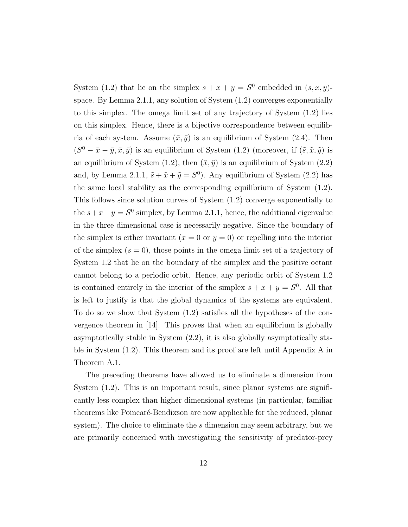System (1.2) that lie on the simplex  $s + x + y = S^0$  embedded in  $(s, x, y)$ space. By Lemma 2.1.1, any solution of System (1.2) converges exponentially to this simplex. The omega limit set of any trajectory of System (1.2) lies on this simplex. Hence, there is a bijective correspondence between equilibria of each system. Assume  $(\bar{x}, \bar{y})$  is an equilibrium of System (2.4). Then  $(S^0 - \bar{x} - \bar{y}, \bar{x}, \bar{y})$  is an equilibrium of System  $(1.2)$  (moreover, if  $(\tilde{s}, \tilde{x}, \tilde{y})$  is an equilibrium of System (1.2), then  $(\tilde{x}, \tilde{y})$  is an equilibrium of System (2.2) and, by Lemma 2.1.1,  $\tilde{s} + \tilde{x} + \tilde{y} = S^0$ . Any equilibrium of System (2.2) has the same local stability as the corresponding equilibrium of System (1.2). This follows since solution curves of System (1.2) converge exponentially to the  $s+x+y=S^0$  simplex, by Lemma 2.1.1, hence, the additional eigenvalue in the three dimensional case is necessarily negative. Since the boundary of the simplex is either invariant  $(x = 0 \text{ or } y = 0)$  or repelling into the interior of the simplex  $(s = 0)$ , those points in the omega limit set of a trajectory of System 1.2 that lie on the boundary of the simplex and the positive octant cannot belong to a periodic orbit. Hence, any periodic orbit of System 1.2 is contained entirely in the interior of the simplex  $s + x + y = S^0$ . All that is left to justify is that the global dynamics of the systems are equivalent. To do so we show that System (1.2) satisfies all the hypotheses of the convergence theorem in [14]. This proves that when an equilibrium is globally asymptotically stable in System (2.2), it is also globally asymptotically stable in System (1.2). This theorem and its proof are left until Appendix A in Theorem A.1.

The preceding theorems have allowed us to eliminate a dimension from System (1.2). This is an important result, since planar systems are significantly less complex than higher dimensional systems (in particular, familiar theorems like Poincaré-Bendixson are now applicable for the reduced, planar system). The choice to eliminate the s dimension may seem arbitrary, but we are primarily concerned with investigating the sensitivity of predator-prey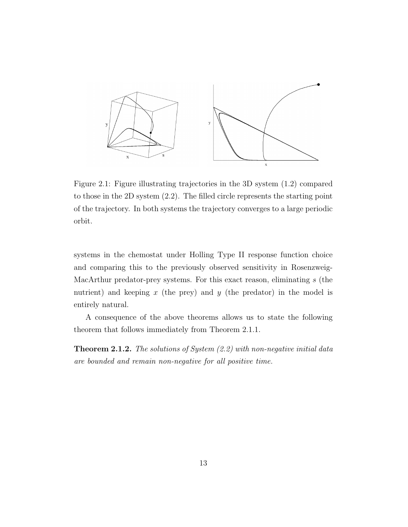

Figure 2.1: Figure illustrating trajectories in the 3D system (1.2) compared to those in the 2D system (2.2). The filled circle represents the starting point of the trajectory. In both systems the trajectory converges to a large periodic orbit.

systems in the chemostat under Holling Type II response function choice and comparing this to the previously observed sensitivity in Rosenzweig-MacArthur predator-prey systems. For this exact reason, eliminating s (the nutrient) and keeping  $x$  (the prey) and  $y$  (the predator) in the model is entirely natural.

A consequence of the above theorems allows us to state the following theorem that follows immediately from Theorem 2.1.1.

**Theorem 2.1.2.** The solutions of System  $(2.2)$  with non-negative initial data are bounded and remain non-negative for all positive time.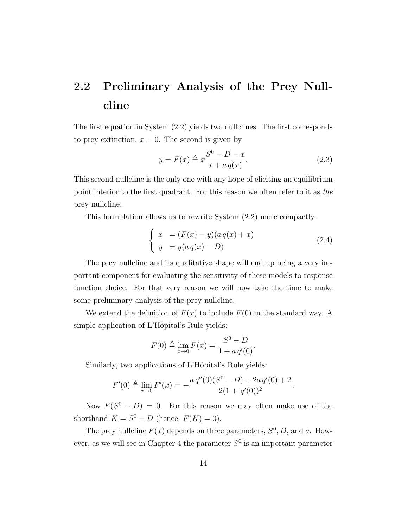### 2.2 Preliminary Analysis of the Prey Nullcline

The first equation in System (2.2) yields two nullclines. The first corresponds to prey extinction,  $x = 0$ . The second is given by

$$
y = F(x) \triangleq x \frac{S^0 - D - x}{x + a q(x)}.
$$
\n(2.3)

This second nullcline is the only one with any hope of eliciting an equilibrium point interior to the first quadrant. For this reason we often refer to it as the prey nullcline.

This formulation allows us to rewrite System (2.2) more compactly.

$$
\begin{cases}\n\dot{x} = (F(x) - y)(a q(x) + x) \\
\dot{y} = y(a q(x) - D)\n\end{cases}
$$
\n(2.4)

The prey nullcline and its qualitative shape will end up being a very important component for evaluating the sensitivity of these models to response function choice. For that very reason we will now take the time to make some preliminary analysis of the prey nullcline.

We extend the definition of  $F(x)$  to include  $F(0)$  in the standard way. A simple application of L'Hôpital's Rule yields:

$$
F(0) \triangleq \lim_{x \to 0} F(x) = \frac{S^0 - D}{1 + a q'(0)}.
$$

Similarly, two applications of L'Hôpital's Rule yields:

$$
F'(0) \triangleq \lim_{x \to 0} F'(x) = -\frac{a q''(0)(S^0 - D) + 2a q'(0) + 2}{2(1 + q'(0))^2}.
$$

Now  $F(S^0 - D) = 0$ . For this reason we may often make use of the shorthand  $K = S^0 - D$  (hence,  $F(K) = 0$ ).

The prey nullcline  $F(x)$  depends on three parameters,  $S^0$ , D, and a. However, as we will see in Chapter 4 the parameter  $S^0$  is an important parameter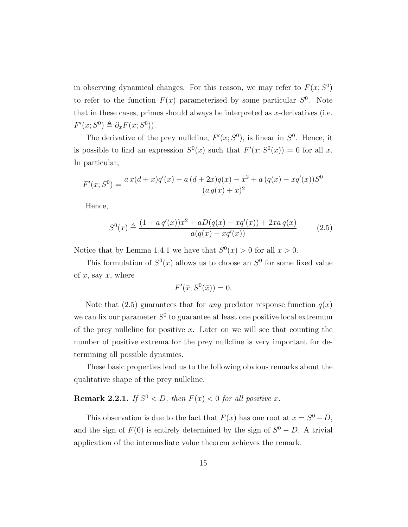in observing dynamical changes. For this reason, we may refer to  $F(x; S<sup>0</sup>)$ to refer to the function  $F(x)$  parameterised by some particular  $S^0$ . Note that in these cases, primes should always be interpreted as  $x$ -derivatives (i.e.  $F'(x; S^0) \triangleq \partial_x F(x; S^0)$ .

The derivative of the prey nullcline,  $F'(x; S^0)$ , is linear in  $S^0$ . Hence, it is possible to find an expression  $S^0(x)$  such that  $F'(x; S^0(x)) = 0$  for all x. In particular,

$$
F'(x; S^{0}) = \frac{ax(d+x)q'(x) - a (d+2x)q(x) - x^{2} + a (q(x) - xq'(x))S^{0}}{(a q(x) + x)^{2}}
$$

Hence,

$$
S^{0}(x) \triangleq \frac{(1 + a q'(x))x^{2} + aD(q(x) - xq'(x)) + 2xa q(x)}{a(q(x) - xq'(x))}
$$
(2.5)

Notice that by Lemma 1.4.1 we have that  $S^0(x) > 0$  for all  $x > 0$ .

This formulation of  $S^0(x)$  allows us to choose an  $S^0$  for some fixed value of x, say  $\bar{x}$ , where

$$
F'(\bar{x}; S^0(\bar{x})) = 0.
$$

Note that (2.5) guarantees that for *any* predator response function  $q(x)$ we can fix our parameter  $S^0$  to guarantee at least one positive local extremum of the prey nullcline for positive x. Later on we will see that counting the number of positive extrema for the prey nullcline is very important for determining all possible dynamics.

These basic properties lead us to the following obvious remarks about the qualitative shape of the prey nullcline.

#### **Remark 2.2.1.** If  $S^0 < D$ , then  $F(x) < 0$  for all positive x.

This observation is due to the fact that  $F(x)$  has one root at  $x = S^0 - D$ , and the sign of  $F(0)$  is entirely determined by the sign of  $S^0 - D$ . A trivial application of the intermediate value theorem achieves the remark.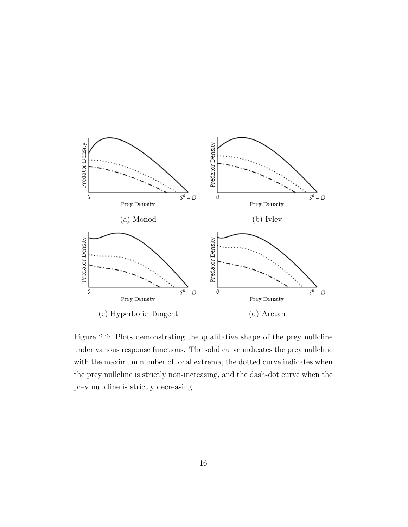

Figure 2.2: Plots demonstrating the qualitative shape of the prey nullcline under various response functions. The solid curve indicates the prey nullcline with the maximum number of local extrema, the dotted curve indicates when the prey nullcline is strictly non-increasing, and the dash-dot curve when the prey nullcline is strictly decreasing.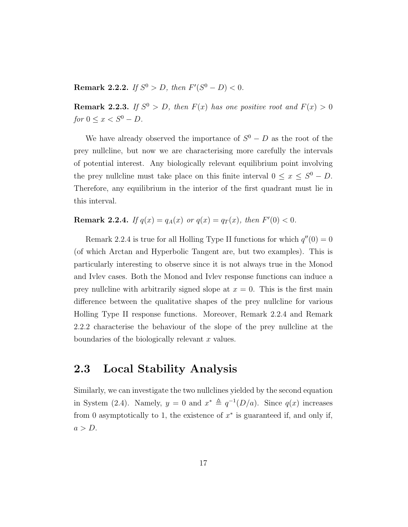**Remark 2.2.2.** If  $S^0 > D$ , then  $F'(S^0 - D) < 0$ .

**Remark 2.2.3.** If  $S^0 > D$ , then  $F(x)$  has one positive root and  $F(x) > 0$ for  $0 \leq x < S^0 - D$ .

We have already observed the importance of  $S^0 - D$  as the root of the prey nullcline, but now we are characterising more carefully the intervals of potential interest. Any biologically relevant equilibrium point involving the prey nullcline must take place on this finite interval  $0 \le x \le S^0 - D$ . Therefore, any equilibrium in the interior of the first quadrant must lie in this interval.

**Remark 2.2.4.** If  $q(x) = q_A(x)$  or  $q(x) = q_T(x)$ , then  $F'(0) < 0$ .

Remark 2.2.4 is true for all Holling Type II functions for which  $q''(0) = 0$ (of which Arctan and Hyperbolic Tangent are, but two examples). This is particularly interesting to observe since it is not always true in the Monod and Ivlev cases. Both the Monod and Ivlev response functions can induce a prey nullcline with arbitrarily signed slope at  $x = 0$ . This is the first main difference between the qualitative shapes of the prey nullcline for various Holling Type II response functions. Moreover, Remark 2.2.4 and Remark 2.2.2 characterise the behaviour of the slope of the prey nullcline at the boundaries of the biologically relevant  $x$  values.

#### 2.3 Local Stability Analysis

Similarly, we can investigate the two nullclines yielded by the second equation in System (2.4). Namely,  $y = 0$  and  $x^* \triangleq q^{-1}(D/a)$ . Since  $q(x)$  increases from 0 asymptotically to 1, the existence of  $x^*$  is guaranteed if, and only if,  $a > D$ .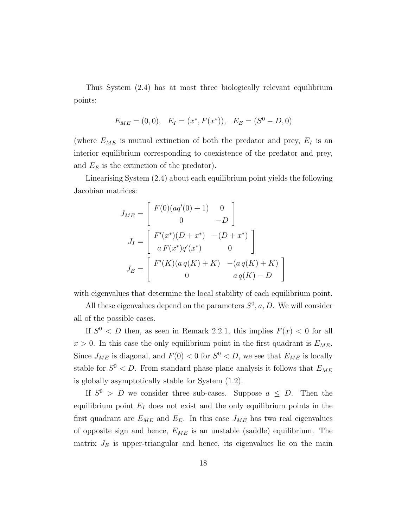Thus System (2.4) has at most three biologically relevant equilibrium points:

$$
E_{ME} = (0,0), \quad E_I = (x^*, F(x^*)), \quad E_E = (S^0 - D, 0)
$$

(where  $E_{ME}$  is mutual extinction of both the predator and prey,  $E_I$  is an interior equilibrium corresponding to coexistence of the predator and prey, and  $E<sub>E</sub>$  is the extinction of the predator).

Linearising System (2.4) about each equilibrium point yields the following Jacobian matrices:

$$
J_{ME} = \begin{bmatrix} F(0)(aq'(0) + 1) & 0 \ 0 & -D \end{bmatrix}
$$
  
\n
$$
J_I = \begin{bmatrix} F'(x^*)(D + x^*) & -(D + x^*) \ aF(x^*)q'(x^*) & 0 \end{bmatrix}
$$
  
\n
$$
J_E = \begin{bmatrix} F'(K)(a q(K) + K) & -(a q(K) + K) \ 0 & a q(K) - D \end{bmatrix}
$$

with eigenvalues that determine the local stability of each equilibrium point.

All these eigenvalues depend on the parameters  $S^0$ ,  $a, D$ . We will consider all of the possible cases.

If  $S^0 < D$  then, as seen in Remark 2.2.1, this implies  $F(x) < 0$  for all  $x > 0$ . In this case the only equilibrium point in the first quadrant is  $E_{ME}$ . Since  $J_{ME}$  is diagonal, and  $F(0) < 0$  for  $S^0 < D$ , we see that  $E_{ME}$  is locally stable for  $S^0 < D$ . From standard phase plane analysis it follows that  $E_{ME}$ is globally asymptotically stable for System (1.2).

If  $S^0 > D$  we consider three sub-cases. Suppose  $a \leq D$ . Then the equilibrium point  $E_I$  does not exist and the only equilibrium points in the first quadrant are  $E_{ME}$  and  $E_E$ . In this case  $J_{ME}$  has two real eigenvalues of opposite sign and hence,  $E_{ME}$  is an unstable (saddle) equilibrium. The matrix  $J_E$  is upper-triangular and hence, its eigenvalues lie on the main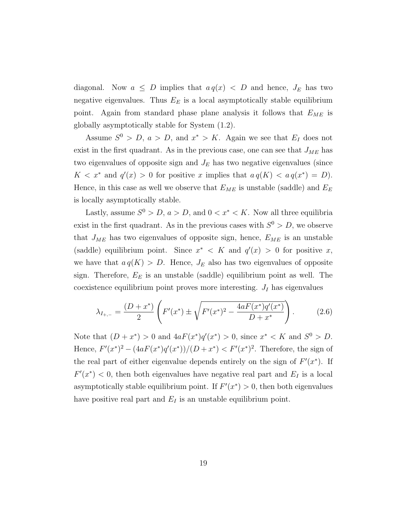diagonal. Now  $a \leq D$  implies that  $a q(x) < D$  and hence,  $J_E$  has two negative eigenvalues. Thus  $E<sub>E</sub>$  is a local asymptotically stable equilibrium point. Again from standard phase plane analysis it follows that  $E_{ME}$  is globally asymptotically stable for System (1.2).

Assume  $S^0 > D$ ,  $a > D$ , and  $x^* > K$ . Again we see that  $E_I$  does not exist in the first quadrant. As in the previous case, one can see that  $J_{ME}$  has two eigenvalues of opposite sign and  $J<sub>E</sub>$  has two negative eigenvalues (since  $K < x^*$  and  $q'(x) > 0$  for positive x implies that  $a q(K) < a q(x^*) = D$ . Hence, in this case as well we observe that  $E_{ME}$  is unstable (saddle) and  $E_E$ is locally asymptotically stable.

Lastly, assume  $S^0 > D$ ,  $a > D$ , and  $0 < x^* < K$ . Now all three equilibria exist in the first quadrant. As in the previous cases with  $S^0 > D$ , we observe that  $J_{ME}$  has two eigenvalues of opposite sign, hence,  $E_{ME}$  is an unstable (saddle) equilibrium point. Since  $x^* < K$  and  $q'(x) > 0$  for positive x, we have that  $a q(K) > D$ . Hence,  $J_E$  also has two eigenvalues of opposite sign. Therefore,  $E_E$  is an unstable (saddle) equilibrium point as well. The coexistence equilibrium point proves more interesting.  $J_I$  has eigenvalues

$$
\lambda_{I_{+,-}} = \frac{(D+x^*)}{2} \left( F'(x^*) \pm \sqrt{F'(x^*)^2 - \frac{4aF(x^*)q'(x^*)}{D+x^*}} \right). \tag{2.6}
$$

Note that  $(D + x^*) > 0$  and  $4aF(x^*)q'(x^*) > 0$ , since  $x^* < K$  and  $S^0 > D$ . Hence,  $F'(x^*)^2 - (4aF(x^*)q'(x^*))/\frac{D+x^*}{S} < F'(x^*)^2$ . Therefore, the sign of the real part of either eigenvalue depends entirely on the sign of  $F'(x^*)$ . If  $F'(x^*)$  < 0, then both eigenvalues have negative real part and  $E_I$  is a local asymptotically stable equilibrium point. If  $F'(x^*) > 0$ , then both eigenvalues have positive real part and  $E_I$  is an unstable equilibrium point.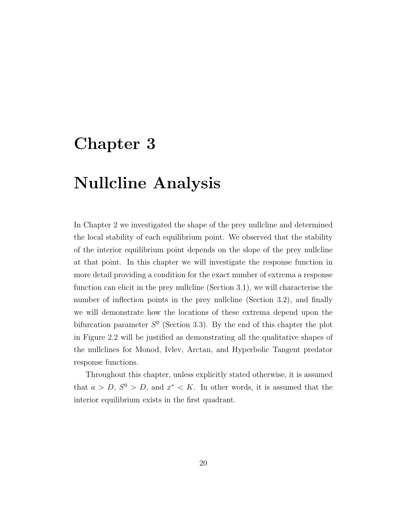### Chapter 3

## Nullcline Analysis

In Chapter 2 we investigated the shape of the prey nullcline and determined the local stability of each equilibrium point. We observed that the stability of the interior equilibrium point depends on the slope of the prey nullcline at that point. In this chapter we will investigate the response function in more detail providing a condition for the exact number of extrema a response function can elicit in the prey nullcline (Section 3.1), we will characterise the number of inflection points in the prey nullcline (Section 3.2), and finally we will demonstrate how the locations of these extrema depend upon the bifurcation parameter  $S^0$  (Section 3.3). By the end of this chapter the plot in Figure 2.2 will be justified as demonstrating all the qualitative shapes of the nullclines for Monod, Ivlev, Arctan, and Hyperbolic Tangent predator response functions.

Throughout this chapter, unless explicitly stated otherwise, it is assumed that  $a > D$ ,  $S^0 > D$ , and  $x^* < K$ . In other words, it is assumed that the interior equilibrium exists in the first quadrant.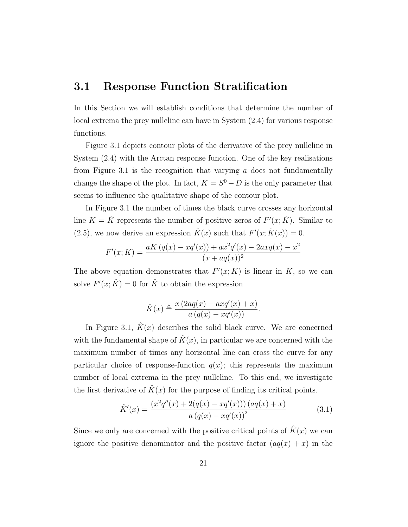#### 3.1 Response Function Stratification

In this Section we will establish conditions that determine the number of local extrema the prey nullcline can have in System (2.4) for various response functions.

Figure 3.1 depicts contour plots of the derivative of the prey nullcline in System (2.4) with the Arctan response function. One of the key realisations from Figure 3.1 is the recognition that varying  $\alpha$  does not fundamentally change the shape of the plot. In fact,  $K = S^0 - D$  is the only parameter that seems to influence the qualitative shape of the contour plot.

In Figure 3.1 the number of times the black curve crosses any horizontal line  $K = \tilde{K}$  represents the number of positive zeros of  $F'(x; \tilde{K})$ . Similar to (2.5), we now derive an expression  $\hat{K}(x)$  such that  $F'(x; \hat{K}(x)) = 0$ .

$$
F'(x; K) = \frac{aK (q(x) - xq'(x)) + ax^2q'(x) - 2axq(x) - x^2}{(x + aq(x))^2}
$$

The above equation demonstrates that  $F'(x; K)$  is linear in K, so we can solve  $F'(x; \hat{K}) = 0$  for  $\hat{K}$  to obtain the expression

$$
\hat{K}(x) \triangleq \frac{x(2aq(x) - axq'(x) + x)}{a(q(x) - xq'(x))}.
$$

In Figure 3.1,  $\hat{K}(x)$  describes the solid black curve. We are concerned with the fundamental shape of  $\hat{K}(x)$ , in particular we are concerned with the maximum number of times any horizontal line can cross the curve for any particular choice of response-function  $q(x)$ ; this represents the maximum number of local extrema in the prey nullcline. To this end, we investigate the first derivative of  $K(x)$  for the purpose of finding its critical points.

$$
\hat{K}'(x) = \frac{(x^2 q''(x) + 2(q(x) - xq'(x))) (aq(x) + x)}{a (q(x) - xq'(x))^2}
$$
(3.1)

Since we only are concerned with the positive critical points of  $\hat{K}(x)$  we can ignore the positive denominator and the positive factor  $(aq(x) + x)$  in the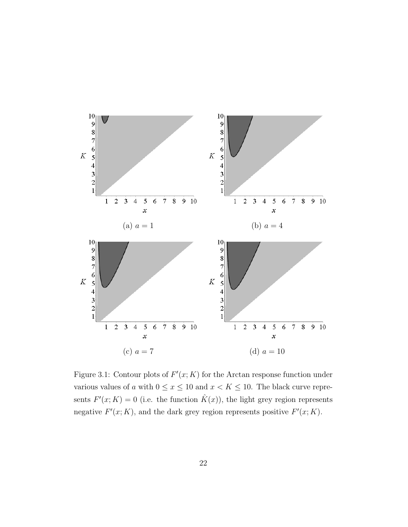

Figure 3.1: Contour plots of  $F'(x; K)$  for the Arctan response function under various values of a with  $0 \le x \le 10$  and  $x < K \le 10$ . The black curve represents  $F'(x; K) = 0$  (i.e. the function  $\hat{K}(x)$ ), the light grey region represents negative  $F'(x; K)$ , and the dark grey region represents positive  $F'(x; K)$ .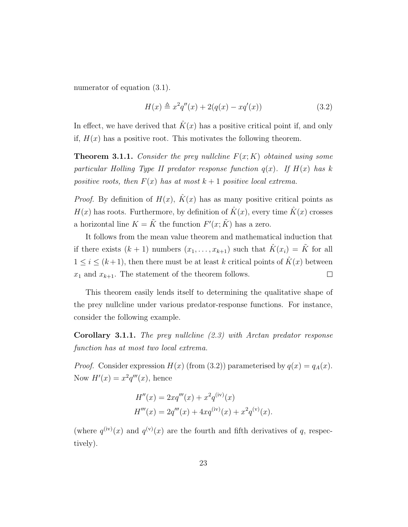numerator of equation  $(3.1)$ .

$$
H(x) \triangleq x^{2}q''(x) + 2(q(x) - xq'(x))
$$
\n(3.2)

In effect, we have derived that  $\hat{K}(x)$  has a positive critical point if, and only if,  $H(x)$  has a positive root. This motivates the following theorem.

**Theorem 3.1.1.** Consider the prey nullcline  $F(x; K)$  obtained using some particular Holling Type II predator response function  $q(x)$ . If  $H(x)$  has k positive roots, then  $F(x)$  has at most  $k+1$  positive local extrema.

*Proof.* By definition of  $H(x)$ ,  $\hat{K}(x)$  has as many positive critical points as  $H(x)$  has roots. Furthermore, by definition of  $\hat{K}(x)$ , every time  $\hat{K}(x)$  crosses a horizontal line  $K = \tilde{K}$  the function  $F'(x; \tilde{K})$  has a zero.

It follows from the mean value theorem and mathematical induction that if there exists  $(k + 1)$  numbers  $(x_1, \ldots, x_{k+1})$  such that  $\hat{K}(x_i) = \tilde{K}$  for all  $1 \leq i \leq (k+1)$ , then there must be at least k critical points of  $\hat{K}(x)$  between  $x_1$  and  $x_{k+1}$ . The statement of the theorem follows.  $\Box$ 

This theorem easily lends itself to determining the qualitative shape of the prey nullcline under various predator-response functions. For instance, consider the following example.

**Corollary 3.1.1.** The prey nullcline  $(2.3)$  with Arctan predator response function has at most two local extrema.

*Proof.* Consider expression  $H(x)$  (from (3.2)) parameterised by  $q(x) = q_A(x)$ . Now  $H'(x) = x^2 q'''(x)$ , hence

$$
H''(x) = 2xq'''(x) + x^2q^{(iv)}(x)
$$
  

$$
H'''(x) = 2q'''(x) + 4xq^{(iv)}(x) + x^2q^{(v)}(x).
$$

(where  $q^{(iv)}(x)$  and  $q^{(v)}(x)$  are the fourth and fifth derivatives of q, respectively).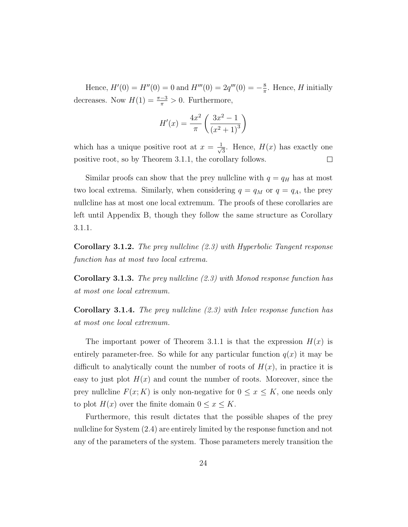Hence,  $H'(0) = H''(0) = 0$  and  $H'''(0) = 2q'''(0) = -\frac{8}{\pi}$  $\frac{8}{\pi}$ . Hence, H initially decreases. Now  $H(1) = \frac{\pi - 3}{\pi} > 0$ . Furthermore,

$$
H'(x) = \frac{4x^2}{\pi} \left( \frac{3x^2 - 1}{(x^2 + 1)^3} \right)
$$

which has a unique positive root at  $x = \frac{1}{\sqrt{2}}$  $\frac{1}{3}$ . Hence,  $H(x)$  has exactly one positive root, so by Theorem 3.1.1, the corollary follows.  $\Box$ 

Similar proofs can show that the prey nullcline with  $q = q_H$  has at most two local extrema. Similarly, when considering  $q = q_M$  or  $q = q_A$ , the prey nullcline has at most one local extremum. The proofs of these corollaries are left until Appendix B, though they follow the same structure as Corollary 3.1.1.

**Corollary 3.1.2.** The prey nullcline  $(2.3)$  with Hyperbolic Tangent response function has at most two local extrema.

**Corollary 3.1.3.** The prey nullcline  $(2.3)$  with Monod response function has at most one local extremum.

**Corollary 3.1.4.** The prey nullcline  $(2.3)$  with Ivlev response function has at most one local extremum.

The important power of Theorem 3.1.1 is that the expression  $H(x)$  is entirely parameter-free. So while for any particular function  $q(x)$  it may be difficult to analytically count the number of roots of  $H(x)$ , in practice it is easy to just plot  $H(x)$  and count the number of roots. Moreover, since the prey nullcline  $F(x; K)$  is only non-negative for  $0 \le x \le K$ , one needs only to plot  $H(x)$  over the finite domain  $0 \le x \le K$ .

Furthermore, this result dictates that the possible shapes of the prey nullcline for System (2.4) are entirely limited by the response function and not any of the parameters of the system. Those parameters merely transition the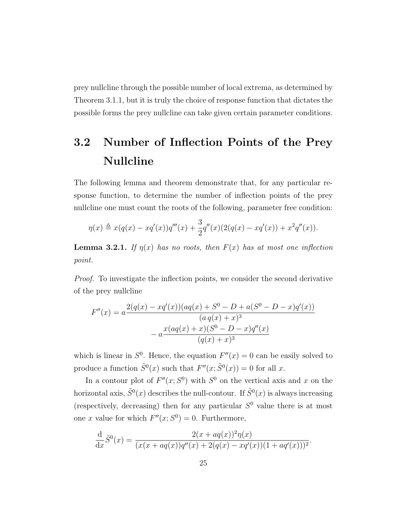prey nullcline through the possible number of local extrema, as determined by Theorem 3.1.1, but it is truly the choice of response function that dictates the possible forms the prey nullcline can take given certain parameter conditions.

### 3.2 Number of Inflection Points of the Prey Nullcline

The following lemma and theorem demonstrate that, for any particular response function, to determine the number of inflection points of the prey nullcline one must count the roots of the following, parameter free condition:

$$
\eta(x) \triangleq x(q(x) - xq'(x))q'''(x) + \frac{3}{2}q''(x)(2(q(x) - xq'(x)) + x^2q''(x)).
$$

**Lemma 3.2.1.** If  $\eta(x)$  has no roots, then  $F(x)$  has at most one inflection point.

Proof. To investigate the inflection points, we consider the second derivative of the prey nullcline

$$
F''(x) = a \frac{2(q(x) - xq'(x))(aq(x) + S^0 - D + a(S^0 - D - x)q'(x))}{(a q(x) + x)^3}
$$

$$
- a \frac{x(aq(x) + x)(S^0 - D - x)q''(x)}{(q(x) + x)^3}
$$

which is linear in  $S^0$ . Hence, the equation  $F''(x) = 0$  can be easily solved to produce a function  $\tilde{S}^0(x)$  such that  $F''(x; \tilde{S}^0(x)) = 0$  for all x.

In a contour plot of  $F''(x; S^0)$  with  $S^0$  on the vertical axis and x on the horizontal axis,  $\tilde{S}^0(x)$  describes the null-contour. If  $\tilde{S}^0(x)$  is always increasing (respectively, decreasing) then for any particular  $S^0$  value there is at most one x value for which  $F''(x; S^0) = 0$ . Furthermore,

$$
\frac{\mathrm{d}}{\mathrm{d}x}\tilde{S}^0(x) = \frac{2(x + aq(x))^2 \eta(x)}{(x(x + aq(x))q''(x) + 2(q(x) - xq'(x))(1 + aq'(x)))^2}.
$$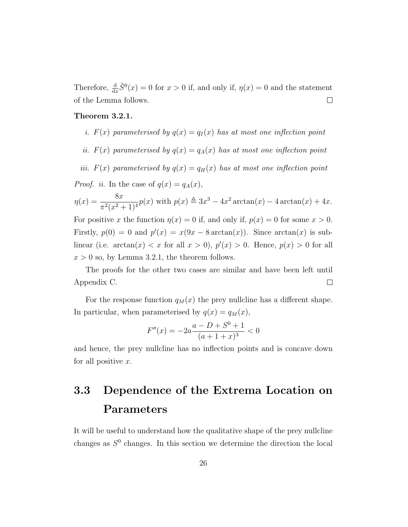Therefore,  $\frac{d}{dx}\tilde{S}^0(x) = 0$  for  $x > 0$  if, and only if,  $\eta(x) = 0$  and the statement of the Lemma follows.  $\Box$ 

#### Theorem 3.2.1.

- i.  $F(x)$  parameterised by  $q(x) = q_I(x)$  has at most one inflection point
- ii.  $F(x)$  parameterised by  $q(x) = q_A(x)$  has at most one inflection point

iii.  $F(x)$  parameterised by  $q(x) = q_H(x)$  has at most one inflection point

*Proof. ii.* In the case of  $q(x) = q_A(x)$ ,

$$
\eta(x) = \frac{8x}{\pi^2 (x^2 + 1)^4} p(x)
$$
 with  $p(x) \triangleq 3x^3 - 4x^2 \arctan(x) - 4 \arctan(x) + 4x$ .

For positive x the function  $\eta(x) = 0$  if, and only if,  $p(x) = 0$  for some  $x > 0$ . Firstly,  $p(0) = 0$  and  $p'(x) = x(9x - 8 \arctan(x))$ . Since  $arctan(x)$  is sublinear (i.e.  $arctan(x) < x$  for all  $x > 0$ ),  $p'(x) > 0$ . Hence,  $p(x) > 0$  for all  $x > 0$  so, by Lemma 3.2.1, the theorem follows.

The proofs for the other two cases are similar and have been left until Appendix C.  $\Box$ 

For the response function  $q_M(x)$  the prey nullcline has a different shape. In particular, when parameterised by  $q(x) = q_M(x)$ ,

$$
F''(x) = -2a \frac{a - D + S^0 + 1}{(a + 1 + x)^3} < 0
$$

and hence, the prey nullcline has no inflection points and is concave down for all positive  $x$ .

### 3.3 Dependence of the Extrema Location on Parameters

It will be useful to understand how the qualitative shape of the prey nullcline changes as  $S^0$  changes. In this section we determine the direction the local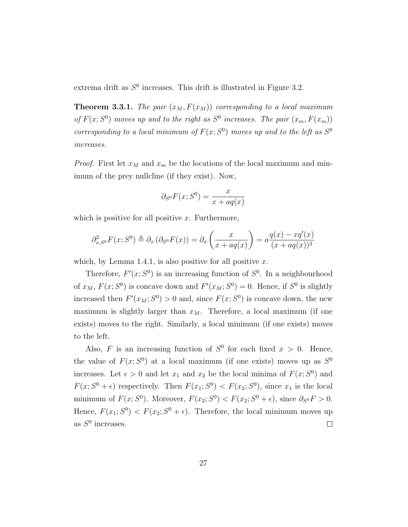extrema drift as  $S^0$  increases. This drift is illustrated in Figure 3.2.

**Theorem 3.3.1.** The pair  $(x_M, F(x_M))$  corresponding to a local maximum of  $F(x; S^0)$  moves up and to the right as  $S^0$  increases. The pair  $(x_m, F(x_m))$ corresponding to a local minimum of  $F(x; S^0)$  moves up and to the left as  $S^0$ increases.

*Proof.* First let  $x_M$  and  $x_m$  be the locations of the local maximum and minimum of the prey nullcline (if they exist). Now,

$$
\partial_{S^0} F(x; S^0) = \frac{x}{x + aq(x)}
$$

which is positive for all positive  $x$ . Furthermore,

$$
\partial_{x,S^0}^2 F(x;S^0) \triangleq \partial_x (\partial_{S^0} F(x)) = \partial_x \left( \frac{x}{x + aq(x)} \right) = a \frac{q(x) - xq'(x)}{(x + aq(x))^2}
$$

which, by Lemma 1.4.1, is also positive for all positive  $x$ .

Therefore,  $F'(x; S^0)$  is an increasing function of  $S^0$ . In a neighbourhood of  $x_M$ ,  $F(x; S^0)$  is concave down and  $F'(x_M; S^0) = 0$ . Hence, if  $S^0$  is slightly increased then  $F'(x_M; S^0) > 0$  and, since  $F(x; S^0)$  is concave down, the new maximum is slightly larger than  $x_M$ . Therefore, a local maximum (if one exists) moves to the right. Similarly, a local minimum (if one exists) moves to the left.

Also, F is an increasing function of  $S^0$  for each fixed  $x > 0$ . Hence, the value of  $F(x; S^0)$  at a local maximum (if one exists) moves up as  $S^0$ increases. Let  $\epsilon > 0$  and let  $x_1$  and  $x_2$  be the local minima of  $F(x; S^0)$  and  $F(x; S^{0} + \epsilon)$  respectively. Then  $F(x_1; S^{0}) < F(x_2; S^{0})$ , since  $x_1$  is the local minimum of  $F(x; S^{0})$ . Moreover,  $F(x_{2}; S^{0}) < F(x_{2}; S^{0} + \epsilon)$ , since  $\partial_{S^{0}} F > 0$ . Hence,  $F(x_1; S^0) < F(x_2; S^0 + \epsilon)$ . Therefore, the local minimum moves up as  $S^0$  increases.  $\Box$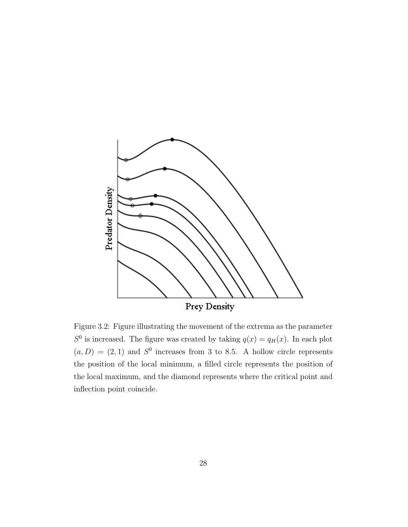

Figure 3.2: Figure illustrating the movement of the extrema as the parameter  $S^0$  is increased. The figure was created by taking  $q(x) = q_H(x)$ . In each plot  $(a, D) = (2, 1)$  and  $S^0$  increases from 3 to 8.5. A hollow circle represents the position of the local minimum, a filled circle represents the position of the local maximum, and the diamond represents where the critical point and inflection point coincide.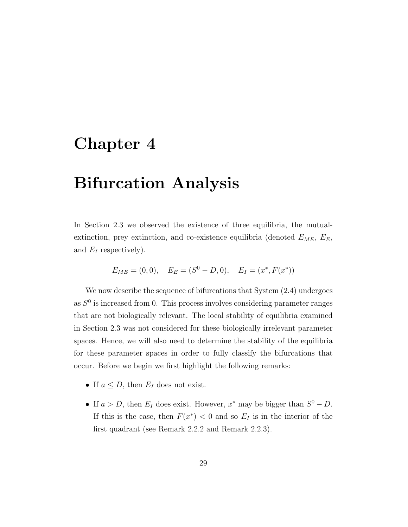#### Chapter 4

### Bifurcation Analysis

In Section 2.3 we observed the existence of three equilibria, the mutualextinction, prey extinction, and co-existence equilibria (denoted  $E_{ME}$ ,  $E_E$ , and  $E_I$  respectively).

$$
E_{ME} = (0,0),
$$
  $E_E = (S^0 - D, 0),$   $E_I = (x^*, F(x^*))$ 

We now describe the sequence of bifurcations that System (2.4) undergoes as  $S<sup>0</sup>$  is increased from 0. This process involves considering parameter ranges that are not biologically relevant. The local stability of equilibria examined in Section 2.3 was not considered for these biologically irrelevant parameter spaces. Hence, we will also need to determine the stability of the equilibria for these parameter spaces in order to fully classify the bifurcations that occur. Before we begin we first highlight the following remarks:

- If  $a \leq D$ , then  $E_I$  does not exist.
- If  $a > D$ , then  $E_I$  does exist. However,  $x^*$  may be bigger than  $S^0 D$ . If this is the case, then  $F(x^*) < 0$  and so  $E_I$  is in the interior of the first quadrant (see Remark 2.2.2 and Remark 2.2.3).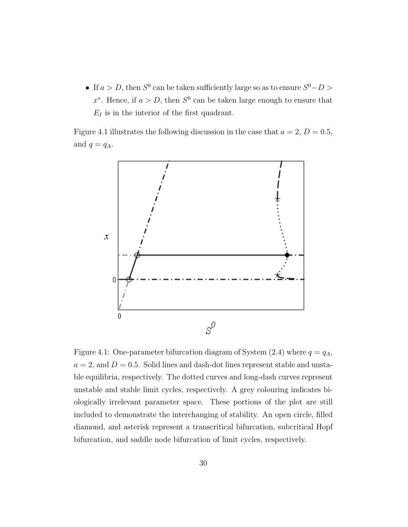• If  $a > D$ , then  $S^0$  can be taken sufficiently large so as to ensure  $S^0 - D >$ x<sup>\*</sup>. Hence, if  $a > D$ , then  $S^0$  can be taken large enough to ensure that  $E_I$  is in the interior of the first quadrant.

Figure 4.1 illustrates the following discussion in the case that  $a = 2, D = 0.5$ , and  $q = q_A$ .



Figure 4.1: One-parameter bifurcation diagram of System (2.4) where  $q = q<sub>A</sub>$ ,  $a = 2$ , and  $D = 0.5$ . Solid lines and dash-dot lines represent stable and unstable equilibria, respectively. The dotted curves and long-dash curves represent unstable and stable limit cycles, respectively. A grey colouring indicates biologically irrelevant parameter space. These portions of the plot are still included to demonstrate the interchanging of stability. An open circle, filled diamond, and asterisk represent a transcritical bifurcation, subcritical Hopf bifurcation, and saddle node bifurcation of limit cycles, respectively.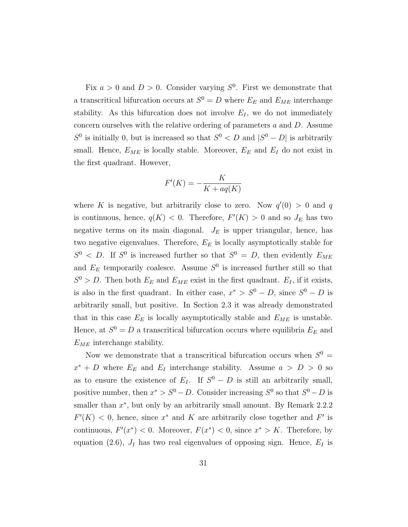Fix  $a > 0$  and  $D > 0$ . Consider varying  $S^0$ . First we demonstrate that a transcritical bifurcation occurs at  $S^0 = D$  where  $E_E$  and  $E_{ME}$  interchange stability. As this bifurcation does not involve  $E_I$ , we do not immediately concern ourselves with the relative ordering of parameters a and D. Assume  $S^0$  is initially 0, but is increased so that  $S^0 < D$  and  $|S^0 - D|$  is arbitrarily small. Hence,  $E_{ME}$  is locally stable. Moreover,  $E_E$  and  $E_I$  do not exist in the first quadrant. However,

$$
F'(K) = -\frac{K}{K + aq(K)}
$$

where K is negative, but arbitrarily close to zero. Now  $q'(0) > 0$  and q is continuous, hence,  $q(K) < 0$ . Therefore,  $F'(K) > 0$  and so  $J_E$  has two negative terms on its main diagonal.  $J_E$  is upper triangular, hence, has two negative eigenvalues. Therefore,  $E_E$  is locally asymptotically stable for  $S^0$  < D. If  $S^0$  is increased further so that  $S^0 = D$ , then evidently  $E_{ME}$ and  $E<sub>E</sub>$  temporarily coalesce. Assume  $S<sup>0</sup>$  is increased further still so that  $S^0 > D$ . Then both  $E_E$  and  $E_{ME}$  exist in the first quadrant.  $E_I$ , if it exists, is also in the first quadrant. In either case,  $x^* > S^0 - D$ , since  $S^0 - D$  is arbitrarily small, but positive. In Section 2.3 it was already demonstrated that in this case  $E_E$  is locally asymptotically stable and  $E_{ME}$  is unstable. Hence, at  $S^0 = D$  a transcritical bifurcation occurs where equilibria  $E_E$  and  $E_{ME}$  interchange stability.

Now we demonstrate that a transcritical bifurcation occurs when  $S^0 =$  $x^* + D$  where  $E_E$  and  $E_I$  interchange stability. Assume  $a > D > 0$  so as to ensure the existence of  $E_I$ . If  $S^0 - D$  is still an arbitrarily small, positive number, then  $x^* > S^0 - D$ . Consider increasing  $S^0$  so that  $S^0 - D$  is smaller than  $x^*$ , but only by an arbitrarily small amount. By Remark 2.2.2  $F'(K) < 0$ , hence, since  $x^*$  and K are arbitrarily close together and F' is continuous,  $F'(x^*) < 0$ . Moreover,  $F(x^*) < 0$ , since  $x^* > K$ . Therefore, by equation (2.6),  $J_I$  has two real eigenvalues of opposing sign. Hence,  $E_I$  is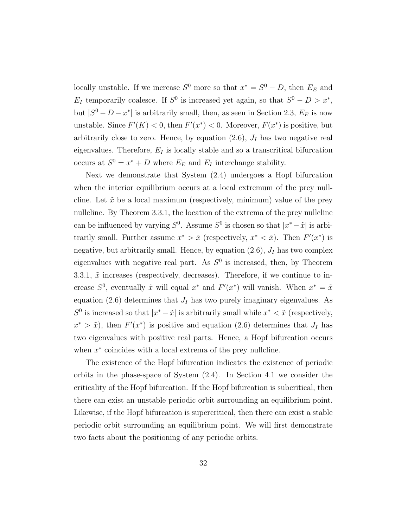locally unstable. If we increase  $S^0$  more so that  $x^* = S^0 - D$ , then  $E_E$  and  $E_I$  temporarily coalesce. If  $S^0$  is increased yet again, so that  $S^0 - D > x^*$ , but  $|S^0 - D - x^*|$  is arbitrarily small, then, as seen in Section 2.3,  $E_E$  is now unstable. Since  $F'(K) < 0$ , then  $F'(x^*) < 0$ . Moreover,  $F(x^*)$  is positive, but arbitrarily close to zero. Hence, by equation  $(2.6)$ ,  $J_I$  has two negative real eigenvalues. Therefore,  $E_I$  is locally stable and so a transcritical bifurcation occurs at  $S^0 = x^* + D$  where  $E_E$  and  $E_I$  interchange stability.

Next we demonstrate that System (2.4) undergoes a Hopf bifurcation when the interior equilibrium occurs at a local extremum of the prey nullcline. Let  $\tilde{x}$  be a local maximum (respectively, minimum) value of the prey nullcline. By Theorem 3.3.1, the location of the extrema of the prey nullcline can be influenced by varying  $S^0$ . Assume  $S^0$  is chosen so that  $|x^* - \tilde{x}|$  is arbitrarily small. Further assume  $x^* > \tilde{x}$  (respectively,  $x^* < \tilde{x}$ ). Then  $F'(x^*)$  is negative, but arbitrarily small. Hence, by equation  $(2.6)$ ,  $J_I$  has two complex eigenvalues with negative real part. As  $S^0$  is increased, then, by Theorem 3.3.1,  $\tilde{x}$  increases (respectively, decreases). Therefore, if we continue to increase  $S^0$ , eventually  $\tilde{x}$  will equal  $x^*$  and  $F'(x^*)$  will vanish. When  $x^* = \tilde{x}$ equation (2.6) determines that  $J_I$  has two purely imaginary eigenvalues. As  $S^0$  is increased so that  $|x^* - \tilde{x}|$  is arbitrarily small while  $x^* < \tilde{x}$  (respectively,  $x^* > \tilde{x}$ , then  $F'(x^*)$  is positive and equation (2.6) determines that  $J_I$  has two eigenvalues with positive real parts. Hence, a Hopf bifurcation occurs when  $x^*$  coincides with a local extrema of the prey nullcline.

The existence of the Hopf bifurcation indicates the existence of periodic orbits in the phase-space of System (2.4). In Section 4.1 we consider the criticality of the Hopf bifurcation. If the Hopf bifurcation is subcritical, then there can exist an unstable periodic orbit surrounding an equilibrium point. Likewise, if the Hopf bifurcation is supercritical, then there can exist a stable periodic orbit surrounding an equilibrium point. We will first demonstrate two facts about the positioning of any periodic orbits.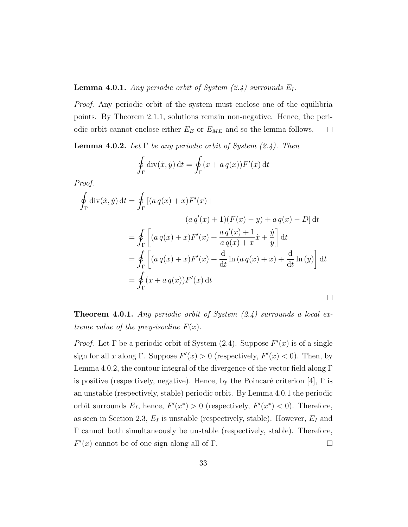#### **Lemma 4.0.1.** Any periodic orbit of System  $(2.4)$  surrounds  $E_I$ .

Proof. Any periodic orbit of the system must enclose one of the equilibria points. By Theorem 2.1.1, solutions remain non-negative. Hence, the periodic orbit cannot enclose either  $E_E$  or  $E_{\mathit{ME}}$  and so the lemma follows.  $\Box$ 

**Lemma 4.0.2.** Let  $\Gamma$  be any periodic orbit of System (2.4). Then

$$
\oint_{\Gamma} \operatorname{div}(\dot{x}, \dot{y}) dt = \oint_{\Gamma} (x + a q(x)) F'(x) dt
$$

Proof.

$$
\oint_{\Gamma} \text{div}(\dot{x}, \dot{y}) dt = \oint_{\Gamma} \left[ (a q(x) + x) F'(x) + (a q'(x) + 1) (F(x) - y) + a q(x) - D \right] dt
$$
\n
$$
= \oint_{\Gamma} \left[ (a q(x) + x) F'(x) + \frac{a q'(x) + 1}{a q(x) + x} \dot{x} + \frac{\dot{y}}{y} \right] dt
$$
\n
$$
= \oint_{\Gamma} \left[ (a q(x) + x) F'(x) + \frac{d}{dt} \ln (a q(x) + x) + \frac{d}{dt} \ln (y) \right] dt
$$
\n
$$
= \oint_{\Gamma} (x + a q(x)) F'(x) dt
$$

**Theorem 4.0.1.** Any periodic orbit of System  $(2.4)$  surrounds a local extreme value of the prey-isocline  $F(x)$ .

*Proof.* Let  $\Gamma$  be a periodic orbit of System (2.4). Suppose  $F'(x)$  is of a single sign for all x along Γ. Suppose  $F'(x) > 0$  (respectively,  $F'(x) < 0$ ). Then, by Lemma 4.0.2, the contour integral of the divergence of the vector field along  $\Gamma$ is positive (respectively, negative). Hence, by the Poincaré criterion [4],  $\Gamma$  is an unstable (respectively, stable) periodic orbit. By Lemma 4.0.1 the periodic orbit surrounds  $E_I$ , hence,  $F'(x^*) > 0$  (respectively,  $F'(x^*) < 0$ ). Therefore, as seen in Section 2.3,  $E_I$  is unstable (respectively, stable). However,  $E_I$  and Γ cannot both simultaneously be unstable (respectively, stable). Therefore,  $F'(x)$  cannot be of one sign along all of  $\Gamma$ .  $\Box$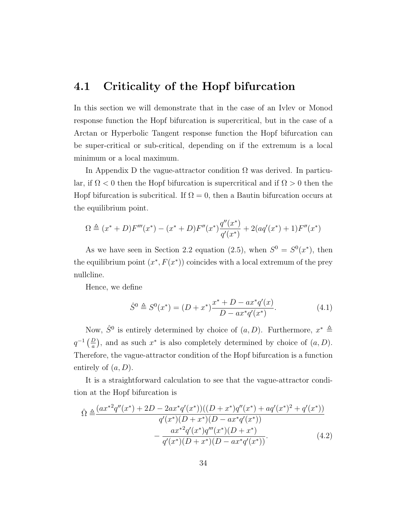#### 4.1 Criticality of the Hopf bifurcation

In this section we will demonstrate that in the case of an Ivlev or Monod response function the Hopf bifurcation is supercritical, but in the case of a Arctan or Hyperbolic Tangent response function the Hopf bifurcation can be super-critical or sub-critical, depending on if the extremum is a local minimum or a local maximum.

In Appendix D the vague-attractor condition  $\Omega$  was derived. In particular, if  $\Omega$  < 0 then the Hopf bifurcation is supercritical and if  $\Omega > 0$  then the Hopf bifurcation is subcritical. If  $\Omega = 0$ , then a Bautin bifurcation occurs at the equilibrium point.

$$
\Omega \triangleq (x^* + D)F'''(x^*) - (x^* + D)F''(x^*)\frac{q''(x^*)}{q'(x^*)} + 2(aq'(x^*) + 1)F''(x^*)
$$

As we have seen in Section 2.2 equation (2.5), when  $S^0 = S^0(x^*)$ , then the equilibrium point  $(x^*, F(x^*))$  coincides with a local extremum of the prey nullcline.

Hence, we define

$$
\hat{S}^0 \triangleq S^0(x^*) = (D + x^*) \frac{x^* + D - ax^*q'(x)}{D - ax^*q'(x^*)}.
$$
\n(4.1)

Now,  $\hat{S}^0$  is entirely determined by choice of  $(a, D)$ . Furthermore,  $x^* \triangleq$  $q^{-1}\left(\frac{D}{a}\right)$ , and as such  $x^*$  is also completely determined by choice of  $(a, D)$ . Therefore, the vague-attractor condition of the Hopf bifurcation is a function entirely of  $(a, D)$ .

It is a straightforward calculation to see that the vague-attractor condition at the Hopf bifurcation is

$$
\hat{\Omega} \triangleq \frac{(ax^{*2}q''(x^{*}) + 2D - 2ax^{*}q'(x^{*}))((D+x^{*})q''(x^{*}) + aq'(x^{*})^{2} + q'(x^{*}))}{q'(x^{*})(D+x^{*})(D - ax^{*}q'(x^{*}))} - \frac{ax^{*2}q'(x^{*})q'''(x^{*})(D+x^{*})}{q'(x^{*})(D+x^{*})(D - ax^{*}q'(x^{*}))}.
$$
\n(4.2)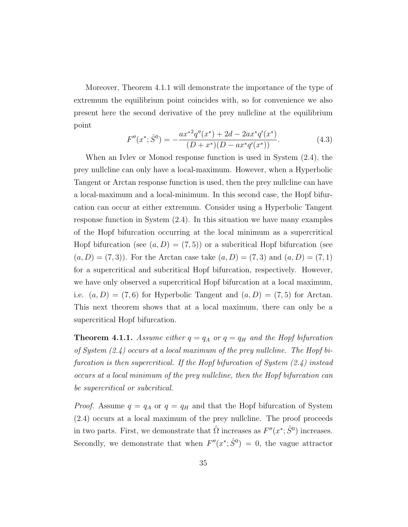Moreover, Theorem 4.1.1 will demonstrate the importance of the type of extremum the equilibrium point coincides with, so for convenience we also present here the second derivative of the prey nullcline at the equilibrium point

$$
F''(x^*; \hat{S}^0) = -\frac{ax^{*2}q''(x^*) + 2d - 2ax^*q'(x^*)}{(D+x^*)(D - ax^*q'(x^*))}.
$$
\n(4.3)

When an Ivlev or Monod response function is used in System (2.4), the prey nullcline can only have a local-maximum. However, when a Hyperbolic Tangent or Arctan response function is used, then the prey nullcline can have a local-maximum and a local-minimum. In this second case, the Hopf bifurcation can occur at either extremum. Consider using a Hyperbolic Tangent response function in System (2.4). In this situation we have many examples of the Hopf bifurcation occurring at the local minimum as a supercritical Hopf bifurcation (see  $(a, D) = (7, 5)$ ) or a subcritical Hopf bifurcation (see  $(a, D) = (7, 3)$ . For the Arctan case take  $(a, D) = (7, 3)$  and  $(a, D) = (7, 1)$ for a supercritical and subcritical Hopf bifurcation, respectively. However, we have only observed a supercritical Hopf bifurcation at a local maximum, i.e.  $(a, D) = (7, 6)$  for Hyperbolic Tangent and  $(a, D) = (7, 5)$  for Arctan. This next theorem shows that at a local maximum, there can only be a supercritical Hopf bifurcation.

**Theorem 4.1.1.** Assume either  $q = q_A$  or  $q = q_H$  and the Hopf bifurcation of System  $(2.4)$  occurs at a local maximum of the prey nullcline. The Hopf bifurcation is then supercritical. If the Hopf bifurcation of System (2.4) instead occurs at a local minimum of the prey nullcline, then the Hopf bifurcation can be supercritical or subcritical.

*Proof.* Assume  $q = q_A$  or  $q = q_H$  and that the Hopf bifurcation of System (2.4) occurs at a local maximum of the prey nullcline. The proof proceeds in two parts. First, we demonstrate that  $\hat{\Omega}$  increases as  $F''(x^*; \hat{S}^0)$  increases. Secondly, we demonstrate that when  $F''(x^*; \hat{S}^0) = 0$ , the vague attractor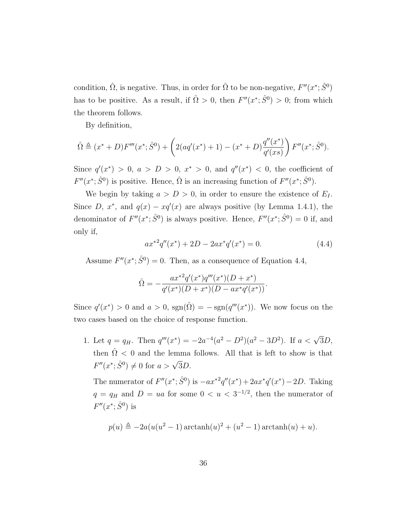condition,  $\hat{\Omega}$ , is negative. Thus, in order for  $\hat{\Omega}$  to be non-negative,  $F''(x^*; \hat{S}^0)$ has to be positive. As a result, if  $\hat{\Omega} > 0$ , then  $F''(x^*; \hat{S}^0) > 0$ ; from which the theorem follows.

By definition,

$$
\hat{\Omega} \triangleq (x^* + D)F'''(x^*; \hat{S}^0) + \left(2(aq'(x^*) + 1) - (x^* + D)\frac{q''(x^*)}{q'(xs)}\right)F''(x^*; \hat{S}^0).
$$

Since  $q'(x^*) > 0$ ,  $a > D > 0$ ,  $x^* > 0$ , and  $q''(x^*) < 0$ , the coefficient of  $F''(x^*; \hat{S}^0)$  is positive. Hence,  $\hat{\Omega}$  is an increasing function of  $F''(x^*; \hat{S}^0)$ .

We begin by taking  $a > D > 0$ , in order to ensure the existence of  $E_I$ . Since D,  $x^*$ , and  $q(x) - xq'(x)$  are always positive (by Lemma 1.4.1), the denominator of  $F''(x^*, \hat{S}^0)$  is always positive. Hence,  $F''(x^*, \hat{S}^0) = 0$  if, and only if,

$$
ax^{*2}q''(x^*) + 2D - 2ax^*q'(x^*) = 0.
$$
\n(4.4)

Assume  $F''(x^*; \hat{S}^0) = 0$ . Then, as a consequence of Equation 4.4,

$$
\hat{\Omega} = -\frac{ax^{*2}q'(x^*)q'''(x^*)(D+x^*)}{q'(x^*)(D+x^*)(D-ax^*q'(x^*))}.
$$

Since  $q'(x^*) > 0$  and  $a > 0$ ,  $sgn(\hat{\Omega}) = -sgn(q'''(x^*))$ . We now focus on the two cases based on the choice of response function.

1. Let  $q = q_H$ . Then  $q'''(x^*) = -2a^{-4}(a^2 - D^2)(a^2 - 3D^2)$ . If  $a < \sqrt{3}D$ , then  $\hat{\Omega}$  < 0 and the lemma follows. All that is left to show is that  $F''(x^*; \hat{S}^0) \neq 0$  for  $a > \sqrt{3}D$ .

The numerator of  $F''(x^*; \hat{S}^0)$  is  $-ax^{*2}q''(x^*) + 2ax^*q'(x^*) - 2D$ . Taking  $q = q_H$  and  $D = ua$  for some  $0 < u < 3^{-1/2}$ , then the numerator of  $F''(x^*; \hat{S}^0)$  is

$$
p(u) \triangleq -2a(u(u^2 - 1)\arctan(u))^2 + (u^2 - 1)\arctan(u) + u).
$$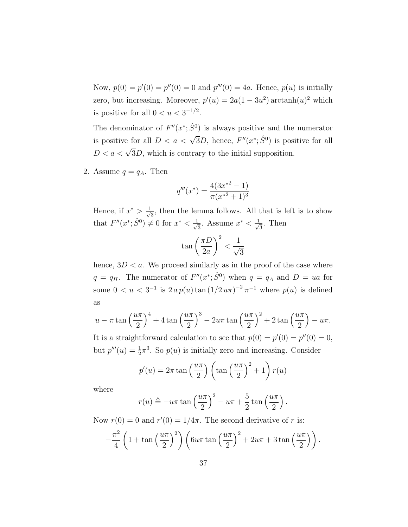Now,  $p(0) = p'(0) = p''(0) = 0$  and  $p'''(0) = 4a$ . Hence,  $p(u)$  is initially zero, but increasing. Moreover,  $p'(u) = 2a(1 - 3u^2) \arctan(u^2)$  which is positive for all  $0 < u < 3^{-1/2}$ .

The denominator of  $F''(x^*; \hat{S}^0)$  is always positive and the numerator is positive for all  $D < a < \sqrt{3}D$ , hence,  $F''(x^*; \hat{S}^0)$  is positive for all  $D < a < \sqrt{3}D$ , which is contrary to the initial supposition.

2. Assume  $q = q_A$ . Then

$$
q'''(x^*) = \frac{4(3x^{*2} - 1)}{\pi(x^{*2} + 1)^3}
$$

Hence, if  $x^* > \frac{1}{\sqrt{2}}$  $\frac{1}{3}$ , then the lemma follows. All that is left is to show that  $F''(x^*; \hat{S}^0) \neq 0$  for  $x^* < \frac{1}{\sqrt{2}}$  $\frac{1}{3}$ . Assume  $x^* < \frac{1}{\sqrt{3}}$  $\frac{1}{3}$ . Then

$$
\tan\left(\frac{\pi D}{2a}\right)^2 < \frac{1}{\sqrt{3}}
$$

hence,  $3D < a$ . We proceed similarly as in the proof of the case where  $q = q_H$ . The numerator of  $F''(x^*; \hat{S}^0)$  when  $q = q_A$  and  $D = ua$  for some  $0 < u < 3^{-1}$  is  $2 a p(u) \tan (1/2 u \pi)^{-2} \pi^{-1}$  where  $p(u)$  is defined as

$$
u - \pi \tan\left(\frac{u\pi}{2}\right)^4 + 4\tan\left(\frac{u\pi}{2}\right)^3 - 2u\pi \tan\left(\frac{u\pi}{2}\right)^2 + 2\tan\left(\frac{u\pi}{2}\right) - u\pi.
$$

It is a straightforward calculation to see that  $p(0) = p'(0) = p''(0) = 0$ , but  $p'''(u) = \frac{1}{2}\pi^3$ . So  $p(u)$  is initially zero and increasing. Consider

$$
p'(u) = 2\pi \tan\left(\frac{u\pi}{2}\right) \left(\tan\left(\frac{u\pi}{2}\right)^2 + 1\right) r(u)
$$

where

$$
r(u) \triangleq -u\pi \tan\left(\frac{u\pi}{2}\right)^2 - u\pi + \frac{5}{2}\tan\left(\frac{u\pi}{2}\right).
$$

Now  $r(0) = 0$  and  $r'(0) = 1/4\pi$ . The second derivative of r is:

$$
-\frac{\pi^2}{4}\left(1+\tan\left(\frac{u\pi}{2}\right)^2\right)\left(6u\pi\tan\left(\frac{u\pi}{2}\right)^2+2u\pi+3\tan\left(\frac{u\pi}{2}\right)\right).
$$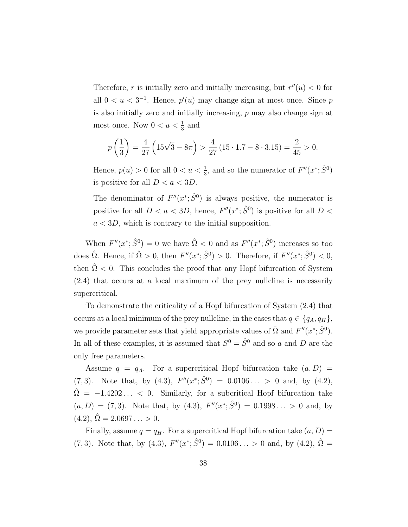Therefore, r is initially zero and initially increasing, but  $r''(u) < 0$  for all  $0 < u < 3^{-1}$ . Hence,  $p'(u)$  may change sign at most once. Since p is also initially zero and initially increasing, p may also change sign at most once. Now  $0 < u < \frac{1}{3}$  and

$$
p\left(\frac{1}{3}\right) = \frac{4}{27}\left(15\sqrt{3} - 8\pi\right) > \frac{4}{27}\left(15 \cdot 1.7 - 8 \cdot 3.15\right) = \frac{2}{45} > 0.
$$

Hence,  $p(u) > 0$  for all  $0 < u < \frac{1}{3}$ , and so the numerator of  $F''(x^*; \hat{S}^0)$ is positive for all  $D < a < 3D$ .

The denominator of  $F''(x^*; \hat{S}^0)$  is always positive, the numerator is positive for all  $D < a < 3D$ , hence,  $F''(x^*; \hat{S}^0)$  is positive for all  $D <$  $a < 3D$ , which is contrary to the initial supposition.

When  $F''(x^*; \hat{S}^0) = 0$  we have  $\hat{\Omega} < 0$  and as  $F''(x^*; \hat{S}^0)$  increases so too does  $\hat{\Omega}$ . Hence, if  $\hat{\Omega} > 0$ , then  $F''(x^*; \hat{S}^0) > 0$ . Therefore, if  $F''(x^*; \hat{S}^0) < 0$ , then  $\hat{\Omega}$  < 0. This concludes the proof that any Hopf bifurcation of System (2.4) that occurs at a local maximum of the prey nullcline is necessarily supercritical.

To demonstrate the criticality of a Hopf bifurcation of System (2.4) that occurs at a local minimum of the prey nullcline, in the cases that  $q \in \{q_A, q_H\},\$ we provide parameter sets that yield appropriate values of  $\hat{\Omega}$  and  $F''(x^*; \hat{S}^0)$ . In all of these examples, it is assumed that  $S^0 = \hat{S}^0$  and so a and D are the only free parameters.

Assume  $q = q_A$ . For a supercritical Hopf bifurcation take  $(a, D)$  $(7,3)$ . Note that, by  $(4.3)$ ,  $F''(x^*; \hat{S}^0) = 0.0106... > 0$  and, by  $(4.2)$ ,  $\hat{\Omega} = -1.4202...$  < 0. Similarly, for a subcritical Hopf bifurcation take  $(a, D) = (7, 3)$ . Note that, by (4.3),  $F''(x^*; \hat{S}^0) = 0.1998... > 0$  and, by  $(4.2), \,\hat{\Omega} = 2.0697\ldots > 0.$ 

Finally, assume  $q = q_H$ . For a supercritical Hopf bifurcation take  $(a, D)$  = (7, 3). Note that, by (4.3),  $F''(x^*; \hat{S}^0) = 0.0106... > 0$  and, by (4.2),  $\hat{\Omega} =$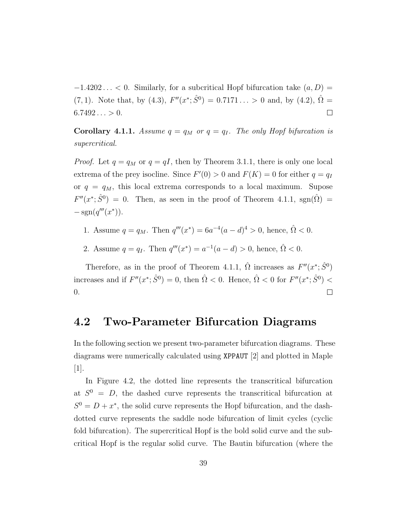$-1.4202...$  < 0. Similarly, for a subcritical Hopf bifurcation take  $(a, D)$  =  $(7, 1)$ . Note that, by  $(4.3)$ ,  $F''(x^*; \hat{S}^0) = 0.7171... > 0$  and, by  $(4.2)$ ,  $\hat{\Omega} =$  $6.7492... > 0.$  $\Box$ 

**Corollary 4.1.1.** Assume  $q = q_M$  or  $q = q_I$ . The only Hopf bifurcation is supercritical.

*Proof.* Let  $q = q_M$  or  $q = qI$ , then by Theorem 3.1.1, there is only one local extrema of the prey isocline. Since  $F'(0) > 0$  and  $F(K) = 0$  for either  $q = q_I$ or  $q = q_M$ , this local extrema corresponds to a local maximum. Supose  $F''(x^*; \hat{S}^0) = 0$ . Then, as seen in the proof of Theorem 4.1.1, sgn( $\hat{\Omega}$ ) =  $-\text{sgn}(q'''(x^*))$ .

- 1. Assume  $q = q_M$ . Then  $q'''(x^*) = 6a^{-4}(a-d)^4 > 0$ , hence,  $\hat{\Omega} < 0$ .
- 2. Assume  $q = q_I$ . Then  $q'''(x^*) = a^{-1}(a d) > 0$ , hence,  $\hat{\Omega} < 0$ .

Therefore, as in the proof of Theorem 4.1.1,  $\hat{\Omega}$  increases as  $F''(x^*; \hat{S}^0)$ increases and if  $F''(x^*; \hat{S}^0) = 0$ , then  $\hat{\Omega} < 0$ . Hence,  $\hat{\Omega} < 0$  for  $F''(x^*; \hat{S}^0) <$ 0.  $\Box$ 

#### 4.2 Two-Parameter Bifurcation Diagrams

In the following section we present two-parameter bifurcation diagrams. These diagrams were numerically calculated using XPPAUT [2] and plotted in Maple [1].

In Figure 4.2, the dotted line represents the transcritical bifurcation at  $S^0 = D$ , the dashed curve represents the transcritical bifurcation at  $S^0 = D + x^*$ , the solid curve represents the Hopf bifurcation, and the dashdotted curve represents the saddle node bifurcation of limit cycles (cyclic fold bifurcation). The supercritical Hopf is the bold solid curve and the subcritical Hopf is the regular solid curve. The Bautin bifurcation (where the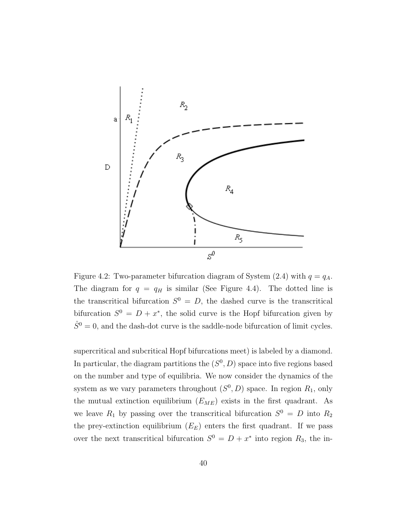

Figure 4.2: Two-parameter bifurcation diagram of System (2.4) with  $q = q<sub>A</sub>$ . The diagram for  $q = q_H$  is similar (See Figure 4.4). The dotted line is the transcritical bifurcation  $S^0 = D$ , the dashed curve is the transcritical bifurcation  $S^0 = D + x^*$ , the solid curve is the Hopf bifurcation given by  $\hat{S}^0 = 0$ , and the dash-dot curve is the saddle-node bifurcation of limit cycles.

supercritical and subcritical Hopf bifurcations meet) is labeled by a diamond. In particular, the diagram partitions the  $(S^0, D)$  space into five regions based on the number and type of equilibria. We now consider the dynamics of the system as we vary parameters throughout  $(S^0, D)$  space. In region  $R_1$ , only the mutual extinction equilibrium  $(E_{ME})$  exists in the first quadrant. As we leave  $R_1$  by passing over the transcritical bifurcation  $S^0 = D$  into  $R_2$ the prey-extinction equilibrium  $(E_E)$  enters the first quadrant. If we pass over the next transcritical bifurcation  $S^0 = D + x^*$  into region  $R_3$ , the in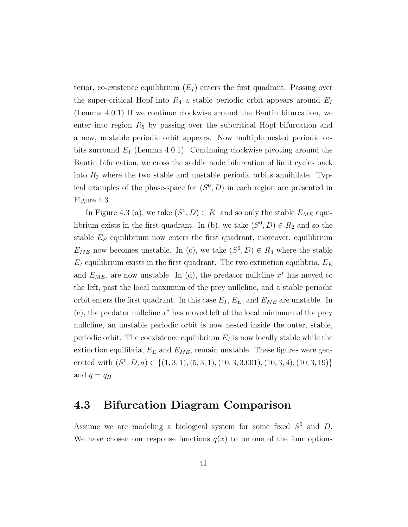terior, co-existence equilibrium  $(E_I)$  enters the first quadrant. Passing over the super-critical Hopf into  $R_4$  a stable periodic orbit appears around  $E_I$ (Lemma 4.0.1) If we continue clockwise around the Bautin bifurcation, we enter into region  $R_5$  by passing over the subcritical Hopf bifurcation and a new, unstable periodic orbit appears. Now multiple nested periodic orbits surround  $E_I$  (Lemma 4.0.1). Continuing clockwise pivoting around the Bautin bifurcation, we cross the saddle node bifurcation of limit cycles back into  $R_3$  where the two stable and unstable periodic orbits annihilate. Typical examples of the phase-space for  $(S^0, D)$  in each region are presented in Figure 4.3.

In Figure 4.3 (a), we take  $(S^0, D) \in R_1$  and so only the stable  $E_{ME}$  equilibrium exists in the first quadrant. In (b), we take  $(S^0, D) \in R_2$  and so the stable  $E<sub>E</sub>$  equilibrium now enters the first quadrant, moreover, equilibrium  $E_{ME}$  now becomes unstable. In (c), we take  $(S^0, D) \in R_3$  where the stable  $E_I$  equilibrium exists in the first quadrant. The two extinction equilibria,  $E_E$ and  $E_{ME}$ , are now unstable. In (d), the predator nullcline  $x^*$  has moved to the left, past the local maximum of the prey nullcline, and a stable periodic orbit enters the first quadrant. In this case  $E_I$ ,  $E_E$ , and  $E_{ME}$  are unstable. In  $(e)$ , the predator nullcline  $x^*$  has moved left of the local minimum of the prey nullcline, an unstable periodic orbit is now nested inside the outer, stable, periodic orbit. The coexistence equilibrium  $E_I$  is now locally stable while the extinction equilibria,  $E_E$  and  $E_{ME}$ , remain unstable. These figures were generated with  $(S^0, D, a) \in \{(1, 3, 1), (5, 3, 1), (10, 3, 3.001), (10, 3, 4), (10, 3, 19)\}\$ and  $q = q_H$ .

#### 4.3 Bifurcation Diagram Comparison

Assume we are modeling a biological system for some fixed  $S^0$  and D. We have chosen our response functions  $q(x)$  to be one of the four options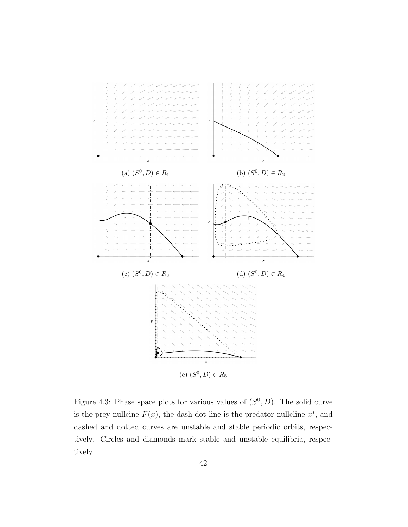

Figure 4.3: Phase space plots for various values of  $(S^0, D)$ . The solid curve is the prey-nullcine  $F(x)$ , the dash-dot line is the predator nullcline  $x^*$ , and dashed and dotted curves are unstable and stable periodic orbits, respectively. Circles and diamonds mark stable and unstable equilibria, respectively.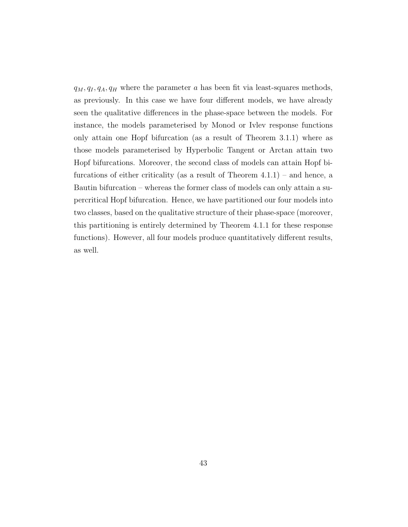$q_M, q_I, q_A, q_H$  where the parameter a has been fit via least-squares methods, as previously. In this case we have four different models, we have already seen the qualitative differences in the phase-space between the models. For instance, the models parameterised by Monod or Ivlev response functions only attain one Hopf bifurcation (as a result of Theorem 3.1.1) where as those models parameterised by Hyperbolic Tangent or Arctan attain two Hopf bifurcations. Moreover, the second class of models can attain Hopf bifurcations of either criticality (as a result of Theorem  $4.1.1$ ) – and hence, a Bautin bifurcation – whereas the former class of models can only attain a supercritical Hopf bifurcation. Hence, we have partitioned our four models into two classes, based on the qualitative structure of their phase-space (moreover, this partitioning is entirely determined by Theorem 4.1.1 for these response functions). However, all four models produce quantitatively different results, as well.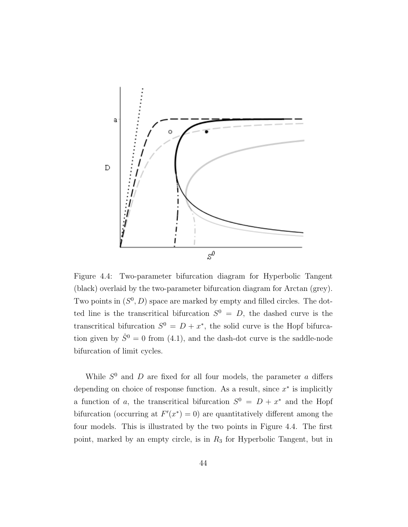

Figure 4.4: Two-parameter bifurcation diagram for Hyperbolic Tangent (black) overlaid by the two-parameter bifurcation diagram for Arctan (grey). Two points in  $(S^0, D)$  space are marked by empty and filled circles. The dotted line is the transcritical bifurcation  $S^0 = D$ , the dashed curve is the transcritical bifurcation  $S^0 = D + x^*$ , the solid curve is the Hopf bifurcation given by  $\hat{S}^0 = 0$  from (4.1), and the dash-dot curve is the saddle-node bifurcation of limit cycles.

While  $S^0$  and D are fixed for all four models, the parameter a differs depending on choice of response function. As a result, since  $x^*$  is implicitly a function of a, the transcritical bifurcation  $S^0 = D + x^*$  and the Hopf bifurcation (occurring at  $F'(x^*) = 0$ ) are quantitatively different among the four models. This is illustrated by the two points in Figure 4.4. The first point, marked by an empty circle, is in  $R_3$  for Hyperbolic Tangent, but in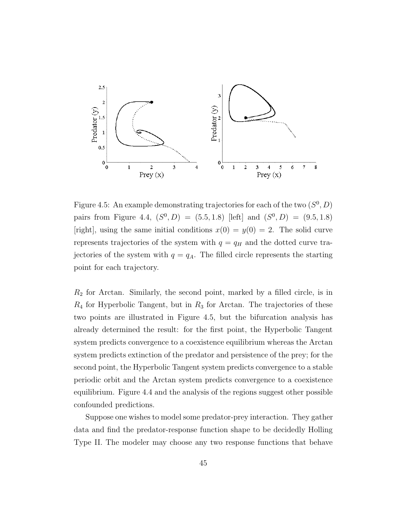

Figure 4.5: An example demonstrating trajectories for each of the two  $(S^0, D)$ pairs from Figure 4.4,  $(S^0, D) = (5.5, 1.8)$  [left] and  $(S^0, D) = (9.5, 1.8)$ [right], using the same initial conditions  $x(0) = y(0) = 2$ . The solid curve represents trajectories of the system with  $q = q_H$  and the dotted curve trajectories of the system with  $q = q_A$ . The filled circle represents the starting point for each trajectory.

 $R<sub>2</sub>$  for Arctan. Similarly, the second point, marked by a filled circle, is in  $R_4$  for Hyperbolic Tangent, but in  $R_3$  for Arctan. The trajectories of these two points are illustrated in Figure 4.5, but the bifurcation analysis has already determined the result: for the first point, the Hyperbolic Tangent system predicts convergence to a coexistence equilibrium whereas the Arctan system predicts extinction of the predator and persistence of the prey; for the second point, the Hyperbolic Tangent system predicts convergence to a stable periodic orbit and the Arctan system predicts convergence to a coexistence equilibrium. Figure 4.4 and the analysis of the regions suggest other possible confounded predictions.

Suppose one wishes to model some predator-prey interaction. They gather data and find the predator-response function shape to be decidedly Holling Type II. The modeler may choose any two response functions that behave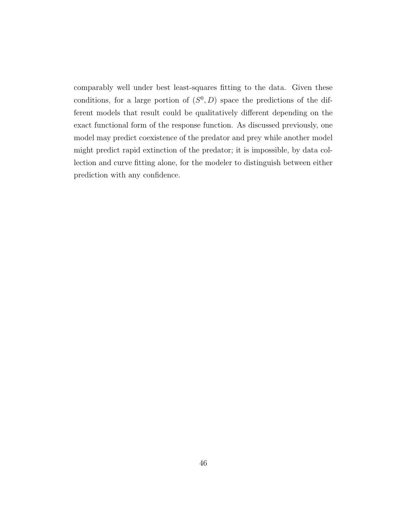comparably well under best least-squares fitting to the data. Given these conditions, for a large portion of  $(S^0, D)$  space the predictions of the different models that result could be qualitatively different depending on the exact functional form of the response function. As discussed previously, one model may predict coexistence of the predator and prey while another model might predict rapid extinction of the predator; it is impossible, by data collection and curve fitting alone, for the modeler to distinguish between either prediction with any confidence.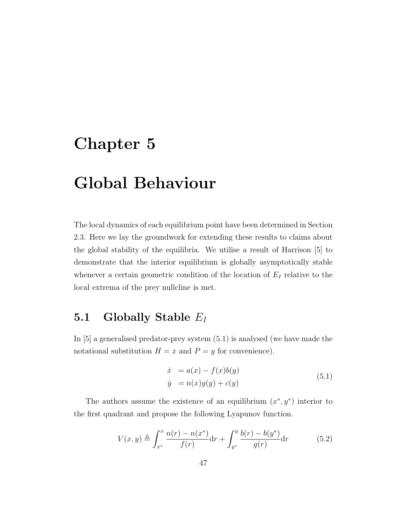### Chapter 5

## Global Behaviour

The local dynamics of each equilibrium point have been determined in Section 2.3. Here we lay the groundwork for extending these results to claims about the global stability of the equilibria. We utilise a result of Harrison [5] to demonstrate that the interior equilibrium is globally asymptotically stable whenever a certain geometric condition of the location of  $E_I$  relative to the local extrema of the prey nullcline is met.

#### 5.1 Globally Stable  $E_I$

In [5] a generalised predator-prey system (5.1) is analysed (we have made the notational substitution  $H = x$  and  $P = y$  for convenience).

$$
\begin{aligned}\n\dot{x} &= a(x) - f(x)b(y) \\
\dot{y} &= n(x)g(y) + c(y)\n\end{aligned} \tag{5.1}
$$

The authors assume the existence of an equilibrium  $(x^*, y^*)$  interior to the first quadrant and propose the following Lyapunov function.

$$
V(x,y) \triangleq \int_{x^*}^x \frac{n(r) - n(x^*)}{f(r)} dr + \int_{y^*}^y \frac{b(r) - b(y^*)}{g(r)} dr \qquad (5.2)
$$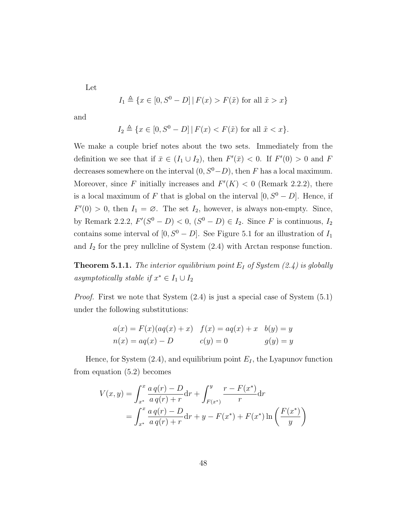Let

$$
I_1 \triangleq \{x \in [0, S^0 - D] \mid F(x) > F(\tilde{x}) \text{ for all } \tilde{x} > x\}
$$

and

$$
I_2 \triangleq \{x \in [0, S^0 - D] | F(x) < F(\tilde{x}) \text{ for all } \tilde{x} < x\}.
$$

We make a couple brief notes about the two sets. Immediately from the definition we see that if  $\bar{x} \in (I_1 \cup I_2)$ , then  $F'(\bar{x}) < 0$ . If  $F'(0) > 0$  and F decreases somewhere on the interval  $(0, S^0 - D)$ , then F has a local maximum. Moreover, since F initially increases and  $F'(K) < 0$  (Remark 2.2.2), there is a local maximum of F that is global on the interval  $[0, S^0 - D]$ . Hence, if  $F'(0) > 0$ , then  $I_1 = \emptyset$ . The set  $I_2$ , however, is always non-empty. Since, by Remark 2.2.2,  $F'(S^0 - D) < 0$ ,  $(S^0 - D) \in I_2$ . Since F is continuous,  $I_2$ contains some interval of  $[0, S^0 - D]$ . See Figure 5.1 for an illustration of  $I_1$ and  $I_2$  for the prey nullcline of System  $(2.4)$  with Arctan response function.

**Theorem 5.1.1.** The interior equilibrium point  $E_I$  of System (2.4) is globally asymptotically stable if  $x^* \in I_1 \cup I_2$ 

Proof. First we note that System (2.4) is just a special case of System (5.1) under the following substitutions:

$$
a(x) = F(x)(aq(x) + x) \quad f(x) = aq(x) + x \quad b(y) = y
$$
  

$$
n(x) = aq(x) - D \qquad c(y) = 0 \qquad g(y) = y
$$

Hence, for System  $(2.4)$ , and equilibrium point  $E_I$ , the Lyapunov function from equation (5.2) becomes

$$
V(x,y) = \int_{x^*}^x \frac{a q(r) - D}{a q(r) + r} dr + \int_{F(x^*)}^y \frac{r - F(x^*)}{r} dr
$$
  
= 
$$
\int_{x^*}^x \frac{a q(r) - D}{a q(r) + r} dr + y - F(x^*) + F(x^*) \ln \left( \frac{F(x^*)}{y} \right)
$$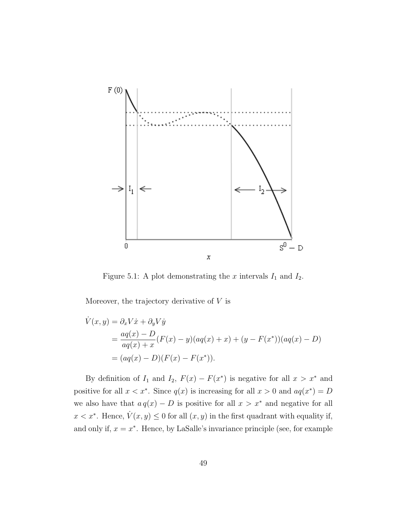

Figure 5.1: A plot demonstrating the  $x$  intervals  $I_1$  and  $I_2$ .

Moreover, the trajectory derivative of  $V$  is

$$
\dot{V}(x, y) = \partial_x V \dot{x} + \partial_y V \dot{y}
$$
  
= 
$$
\frac{aq(x) - D}{aq(x) + x} (F(x) - y)(aq(x) + x) + (y - F(x^*)) (aq(x) - D)
$$
  
= 
$$
(aq(x) - D)(F(x) - F(x^*)).
$$

By definition of  $I_1$  and  $I_2$ ,  $F(x) - F(x^*)$  is negative for all  $x > x^*$  and positive for all  $x < x^*$ . Since  $q(x)$  is increasing for all  $x > 0$  and  $aq(x^*) = D$ we also have that  $a q(x) - D$  is positive for all  $x > x^*$  and negative for all  $x < x^*$ . Hence,  $\dot{V}(x, y) \leq 0$  for all  $(x, y)$  in the first quadrant with equality if, and only if,  $x = x^*$ . Hence, by LaSalle's invariance principle (see, for example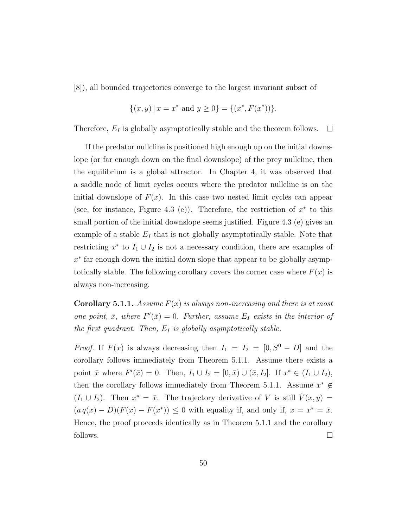[8]), all bounded trajectories converge to the largest invariant subset of

$$
\{(x,y) \mid x = x^* \text{ and } y \ge 0\} = \{(x^*, F(x^*))\}.
$$

Therefore,  $E_I$  is globally asymptotically stable and the theorem follows.  $\Box$ 

If the predator nullcline is positioned high enough up on the initial downslope (or far enough down on the final downslope) of the prey nullcline, then the equilibrium is a global attractor. In Chapter 4, it was observed that a saddle node of limit cycles occurs where the predator nullcline is on the initial downslope of  $F(x)$ . In this case two nested limit cycles can appear (see, for instance, Figure 4.3 (e)). Therefore, the restriction of  $x^*$  to this small portion of the initial downslope seems justified. Figure 4.3 (e) gives an example of a stable  $E_I$  that is not globally asymptotically stable. Note that restricting  $x^*$  to  $I_1 \cup I_2$  is not a necessary condition, there are examples of x ∗ far enough down the initial down slope that appear to be globally asymptotically stable. The following corollary covers the corner case where  $F(x)$  is always non-increasing.

**Corollary 5.1.1.** Assume  $F(x)$  is always non-increasing and there is at most one point,  $\bar{x}$ , where  $F'(\bar{x}) = 0$ . Further, assume  $E_I$  exists in the interior of the first quadrant. Then,  $E_I$  is globally asymptotically stable.

*Proof.* If  $F(x)$  is always decreasing then  $I_1 = I_2 = [0, S^0 - D]$  and the corollary follows immediately from Theorem 5.1.1. Assume there exists a point  $\bar{x}$  where  $F'(\bar{x}) = 0$ . Then,  $I_1 \cup I_2 = [0, \bar{x}) \cup (\bar{x}, I_2]$ . If  $x^* \in (I_1 \cup I_2)$ , then the corollary follows immediately from Theorem 5.1.1. Assume  $x^* \notin$  $(I_1 \cup I_2)$ . Then  $x^* = \bar{x}$ . The trajectory derivative of V is still  $\dot{V}(x, y) =$  $(a q(x) - D)(F(x) - F(x^*)) \leq 0$  with equality if, and only if,  $x = x^* = \overline{x}$ . Hence, the proof proceeds identically as in Theorem 5.1.1 and the corollary follows.  $\Box$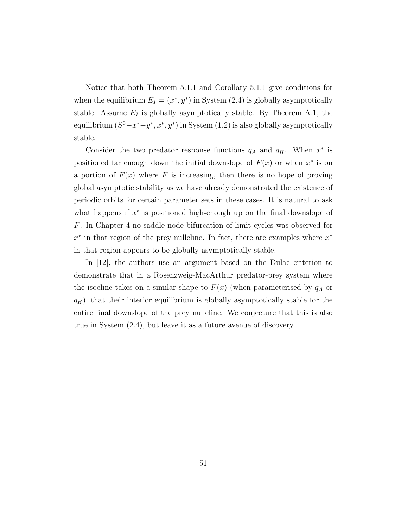Notice that both Theorem 5.1.1 and Corollary 5.1.1 give conditions for when the equilibrium  $E_I = (x^*, y^*)$  in System (2.4) is globally asymptotically stable. Assume  $E_I$  is globally asymptotically stable. By Theorem A.1, the equilibrium  $(S^0 - x^* - y^*, x^*, y^*)$  in System  $(1.2)$  is also globally asymptotically stable.

Consider the two predator response functions  $q_A$  and  $q_H$ . When  $x^*$  is positioned far enough down the initial downslope of  $F(x)$  or when  $x^*$  is on a portion of  $F(x)$  where F is increasing, then there is no hope of proving global asymptotic stability as we have already demonstrated the existence of periodic orbits for certain parameter sets in these cases. It is natural to ask what happens if  $x^*$  is positioned high-enough up on the final downslope of F. In Chapter 4 no saddle node bifurcation of limit cycles was observed for  $x^*$  in that region of the prey nullcline. In fact, there are examples where  $x^*$ in that region appears to be globally asymptotically stable.

In [12], the authors use an argument based on the Dulac criterion to demonstrate that in a Rosenzweig-MacArthur predator-prey system where the isocline takes on a similar shape to  $F(x)$  (when parameterised by  $q_A$  or  $q_H$ ), that their interior equilibrium is globally asymptotically stable for the entire final downslope of the prey nullcline. We conjecture that this is also true in System (2.4), but leave it as a future avenue of discovery.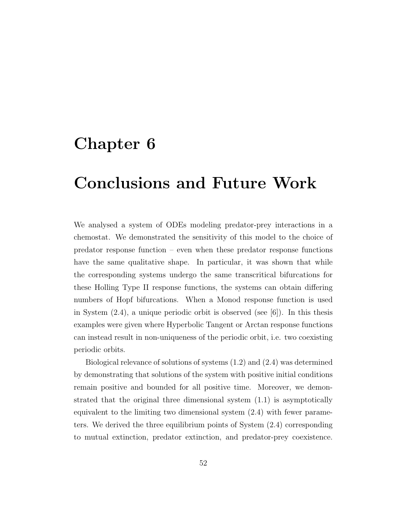#### Chapter 6

## Conclusions and Future Work

We analysed a system of ODEs modeling predator-prey interactions in a chemostat. We demonstrated the sensitivity of this model to the choice of predator response function – even when these predator response functions have the same qualitative shape. In particular, it was shown that while the corresponding systems undergo the same transcritical bifurcations for these Holling Type II response functions, the systems can obtain differing numbers of Hopf bifurcations. When a Monod response function is used in System  $(2.4)$ , a unique periodic orbit is observed (see [6]). In this thesis examples were given where Hyperbolic Tangent or Arctan response functions can instead result in non-uniqueness of the periodic orbit, i.e. two coexisting periodic orbits.

Biological relevance of solutions of systems (1.2) and (2.4) was determined by demonstrating that solutions of the system with positive initial conditions remain positive and bounded for all positive time. Moreover, we demonstrated that the original three dimensional system (1.1) is asymptotically equivalent to the limiting two dimensional system (2.4) with fewer parameters. We derived the three equilibrium points of System (2.4) corresponding to mutual extinction, predator extinction, and predator-prey coexistence.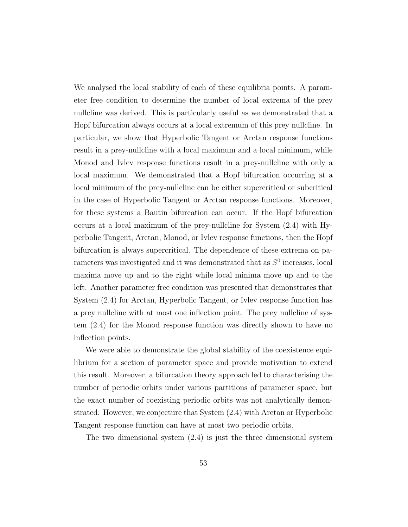We analysed the local stability of each of these equilibria points. A parameter free condition to determine the number of local extrema of the prey nullcline was derived. This is particularly useful as we demonstrated that a Hopf bifurcation always occurs at a local extremum of this prey nullcline. In particular, we show that Hyperbolic Tangent or Arctan response functions result in a prey-nullcline with a local maximum and a local minimum, while Monod and Ivlev response functions result in a prey-nullcline with only a local maximum. We demonstrated that a Hopf bifurcation occurring at a local minimum of the prey-nullcline can be either supercritical or subcritical in the case of Hyperbolic Tangent or Arctan response functions. Moreover, for these systems a Bautin bifurcation can occur. If the Hopf bifurcation occurs at a local maximum of the prey-nullcline for System (2.4) with Hyperbolic Tangent, Arctan, Monod, or Ivlev response functions, then the Hopf bifurcation is always supercritical. The dependence of these extrema on parameters was investigated and it was demonstrated that as  $S^0$  increases, local maxima move up and to the right while local minima move up and to the left. Another parameter free condition was presented that demonstrates that System (2.4) for Arctan, Hyperbolic Tangent, or Ivlev response function has a prey nullcline with at most one inflection point. The prey nullcline of system (2.4) for the Monod response function was directly shown to have no inflection points.

We were able to demonstrate the global stability of the coexistence equilibrium for a section of parameter space and provide motivation to extend this result. Moreover, a bifurcation theory approach led to characterising the number of periodic orbits under various partitions of parameter space, but the exact number of coexisting periodic orbits was not analytically demonstrated. However, we conjecture that System (2.4) with Arctan or Hyperbolic Tangent response function can have at most two periodic orbits.

The two dimensional system (2.4) is just the three dimensional system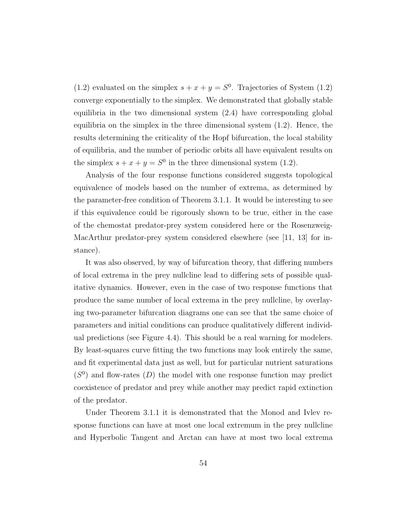(1.2) evaluated on the simplex  $s + x + y = S^0$ . Trajectories of System (1.2) converge exponentially to the simplex. We demonstrated that globally stable equilibria in the two dimensional system (2.4) have corresponding global equilibria on the simplex in the three dimensional system (1.2). Hence, the results determining the criticality of the Hopf bifurcation, the local stability of equilibria, and the number of periodic orbits all have equivalent results on the simplex  $s + x + y = S^0$  in the three dimensional system (1.2).

Analysis of the four response functions considered suggests topological equivalence of models based on the number of extrema, as determined by the parameter-free condition of Theorem 3.1.1. It would be interesting to see if this equivalence could be rigorously shown to be true, either in the case of the chemostat predator-prey system considered here or the Rosenzweig-MacArthur predator-prey system considered elsewhere (see [11, 13] for instance).

It was also observed, by way of bifurcation theory, that differing numbers of local extrema in the prey nullcline lead to differing sets of possible qualitative dynamics. However, even in the case of two response functions that produce the same number of local extrema in the prey nullcline, by overlaying two-parameter bifurcation diagrams one can see that the same choice of parameters and initial conditions can produce qualitatively different individual predictions (see Figure 4.4). This should be a real warning for modelers. By least-squares curve fitting the two functions may look entirely the same, and fit experimental data just as well, but for particular nutrient saturations  $(S<sup>0</sup>)$  and flow-rates  $(D)$  the model with one response function may predict coexistence of predator and prey while another may predict rapid extinction of the predator.

Under Theorem 3.1.1 it is demonstrated that the Monod and Ivlev response functions can have at most one local extremum in the prey nullcline and Hyperbolic Tangent and Arctan can have at most two local extrema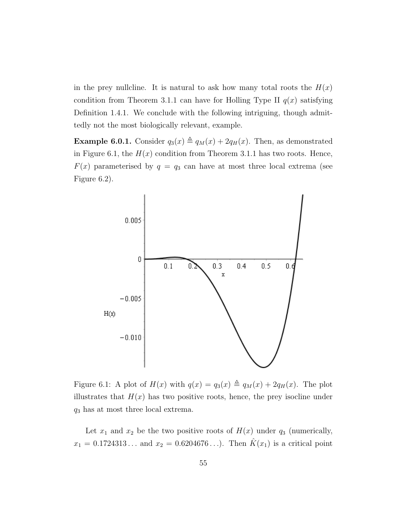in the prey nullcline. It is natural to ask how many total roots the  $H(x)$ condition from Theorem 3.1.1 can have for Holling Type II  $q(x)$  satisfying Definition 1.4.1. We conclude with the following intriguing, though admittedly not the most biologically relevant, example.

**Example 6.0.1.** Consider  $q_3(x) \triangleq q_M(x) + 2q_H(x)$ . Then, as demonstrated in Figure 6.1, the  $H(x)$  condition from Theorem 3.1.1 has two roots. Hence,  $F(x)$  parameterised by  $q = q_3$  can have at most three local extrema (see Figure 6.2).



Figure 6.1: A plot of  $H(x)$  with  $q(x) = q_3(x) \triangleq q_M(x) + 2q_H(x)$ . The plot illustrates that  $H(x)$  has two positive roots, hence, the prey isocline under  $q_3$  has at most three local extrema.

Let  $x_1$  and  $x_2$  be the two positive roots of  $H(x)$  under  $q_3$  (numerically,  $x_1 = 0.1724313...$  and  $x_2 = 0.6204676...$ . Then  $\hat{K}(x_1)$  is a critical point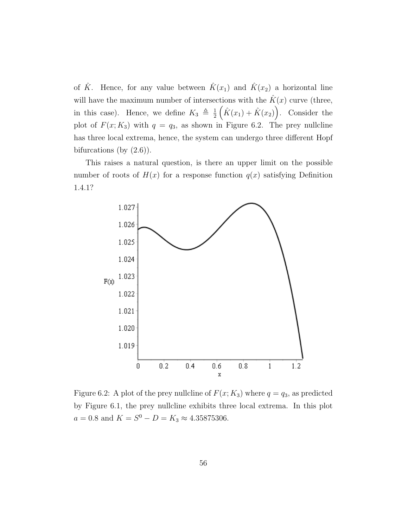of  $\hat{K}$ . Hence, for any value between  $\hat{K}(x_1)$  and  $\hat{K}(x_2)$  a horizontal line will have the maximum number of intersections with the  $\hat{K}(x)$  curve (three, in this case). Hence, we define  $K_3 \triangleq \frac{1}{2}$  $\frac{1}{2}(\hat{K}(x_1)+\hat{K}(x_2)).$  Consider the plot of  $F(x; K_3)$  with  $q = q_3$ , as shown in Figure 6.2. The prey nullcline has three local extrema, hence, the system can undergo three different Hopf bifurcations (by  $(2.6)$ ).

This raises a natural question, is there an upper limit on the possible number of roots of  $H(x)$  for a response function  $q(x)$  satisfying Definition 1.4.1?



Figure 6.2: A plot of the prey nullcline of  $F(x; K_3)$  where  $q = q_3$ , as predicted by Figure 6.1, the prey nullcline exhibits three local extrema. In this plot  $a = 0.8$  and  $K = S^0 - D = K_3 \approx 4.35875306$ .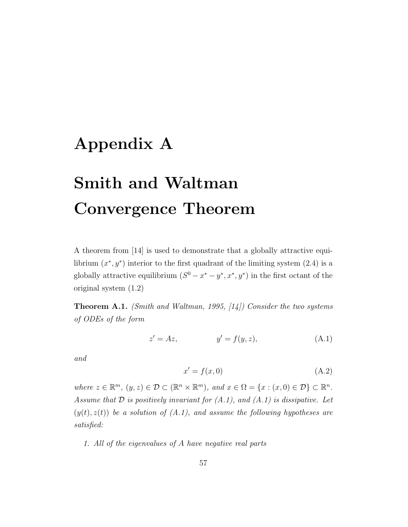### Appendix A

# Smith and Waltman Convergence Theorem

A theorem from [14] is used to demonstrate that a globally attractive equilibrium  $(x^*, y^*)$  interior to the first quadrant of the limiting system  $(2.4)$  is a globally attractive equilibrium  $(S^0 - x^* - y^*, x^*, y^*)$  in the first octant of the original system (1.2)

**Theorem A.1.** (Smith and Waltman, 1995,  $[14]$ ) Consider the two systems of ODEs of the form

$$
z' = Az, \qquad \qquad y' = f(y, z), \tag{A.1}
$$

and

$$
x' = f(x,0) \tag{A.2}
$$

where  $z \in \mathbb{R}^m$ ,  $(y, z) \in \mathcal{D} \subset (\mathbb{R}^n \times \mathbb{R}^m)$ , and  $x \in \Omega = \{x : (x, 0) \in \mathcal{D}\} \subset \mathbb{R}^n$ . Assume that  $D$  is positively invariant for  $(A.1)$ , and  $(A.1)$  is dissipative. Let  $(y(t), z(t))$  be a solution of  $(A.1)$ , and assume the following hypotheses are satisfied:

1. All of the eigenvalues of A have negative real parts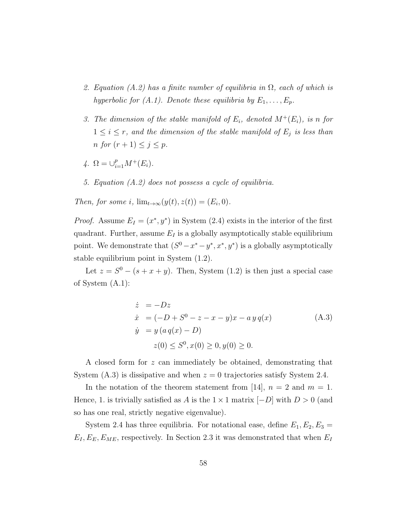- 2. Equation (A.2) has a finite number of equilibria in  $\Omega$ , each of which is hyperbolic for  $(A.1)$ . Denote these equilibria by  $E_1, \ldots, E_p$ .
- 3. The dimension of the stable manifold of  $E_i$ , denoted  $M^+(E_i)$ , is n for  $1 \leq i \leq r$ , and the dimension of the stable manifold of  $E_j$  is less than n for  $(r+1) \leq j \leq p$ .
- 4.  $\Omega = \bigcup_{i=1}^{p} M^{+}(E_i)$ .
- 5. Equation (A.2) does not possess a cycle of equilibria.

Then, for some i,  $\lim_{t\to\infty}(y(t),z(t))=(E_i,0)$ .

*Proof.* Assume  $E_I = (x^*, y^*)$  in System (2.4) exists in the interior of the first quadrant. Further, assume  $E_I$  is a globally asymptotically stable equilibrium point. We demonstrate that  $(S^0 - x^* - y^*, x^*, y^*)$  is a globally asymptotically stable equilibrium point in System (1.2).

Let  $z = S^0 - (s + x + y)$ . Then, System (1.2) is then just a special case of System (A.1):

$$
\dot{z} = -Dz \n\dot{x} = (-D + S^0 - z - x - y)x - ay q(x) \n\dot{y} = y (a q(x) - D) \n z(0) \le S^0, x(0) \ge 0, y(0) \ge 0.
$$
\n(A.3)

A closed form for z can immediately be obtained, demonstrating that System  $(A.3)$  is dissipative and when  $z = 0$  trajectories satisfy System 2.4.

In the notation of the theorem statement from [14],  $n = 2$  and  $m = 1$ . Hence, 1. is trivially satisfied as A is the  $1 \times 1$  matrix  $[-D]$  with  $D > 0$  (and so has one real, strictly negative eigenvalue).

System 2.4 has three equilibria. For notational ease, define  $E_1, E_2, E_3 =$  $E_I, E_E, E_{ME}$ , respectively. In Section 2.3 it was demonstrated that when  $E_I$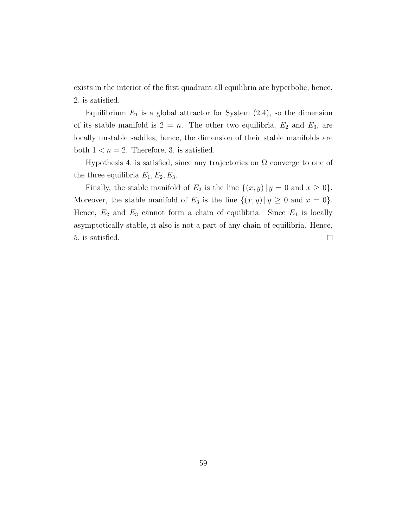exists in the interior of the first quadrant all equilibria are hyperbolic, hence, 2. is satisfied.

Equilibrium  $E_1$  is a global attractor for System  $(2.4)$ , so the dimension of its stable manifold is  $2 = n$ . The other two equilibria,  $E_2$  and  $E_3$ , are locally unstable saddles, hence, the dimension of their stable manifolds are both  $1 < n = 2$ . Therefore, 3. is satisfied.

Hypothesis 4. is satisfied, since any trajectories on  $\Omega$  converge to one of the three equilibria  $E_1, E_2, E_3$ .

Finally, the stable manifold of  $E_2$  is the line  $\{(x, y) | y = 0 \text{ and } x \ge 0\}.$ Moreover, the stable manifold of  $E_3$  is the line  $\{(x, y) | y \ge 0 \text{ and } x = 0\}.$ Hence,  $E_2$  and  $E_3$  cannot form a chain of equilibria. Since  $E_1$  is locally asymptotically stable, it also is not a part of any chain of equilibria. Hence, 5. is satisfied.  $\Box$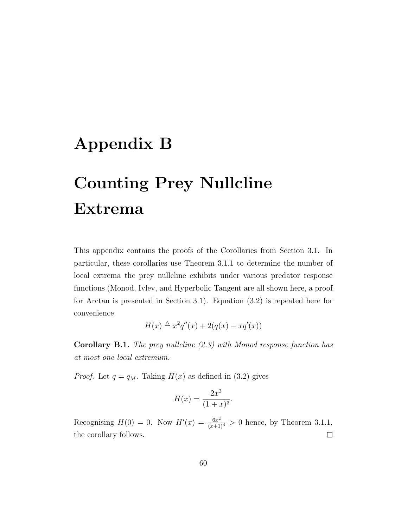## Appendix B

# Counting Prey Nullcline Extrema

This appendix contains the proofs of the Corollaries from Section 3.1. In particular, these corollaries use Theorem 3.1.1 to determine the number of local extrema the prey nullcline exhibits under various predator response functions (Monod, Ivlev, and Hyperbolic Tangent are all shown here, a proof for Arctan is presented in Section 3.1). Equation (3.2) is repeated here for convenience.

$$
H(x) \triangleq x^2 q''(x) + 2(q(x) - xq'(x))
$$

**Corollary B.1.** The prey nullcline  $(2.3)$  with Monod response function has at most one local extremum.

*Proof.* Let  $q = q_M$ . Taking  $H(x)$  as defined in (3.2) gives

$$
H(x) = \frac{2x^3}{(1+x)^3}.
$$

Recognising  $H(0) = 0$ . Now  $H'(x) = \frac{6x^2}{(x+1)^4} > 0$  hence, by Theorem 3.1.1, the corollary follows.  $\Box$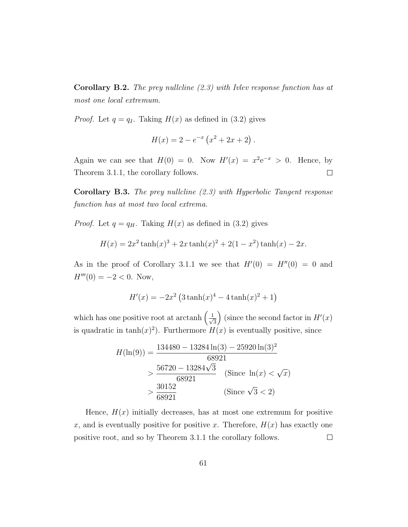**Corollary B.2.** The prey nullcline  $(2.3)$  with Ivlev response function has at most one local extremum.

*Proof.* Let  $q = q_I$ . Taking  $H(x)$  as defined in (3.2) gives

$$
H(x) = 2 - e^{-x} (x^2 + 2x + 2).
$$

Again we can see that  $H(0) = 0$ . Now  $H'(x) = x^2 e^{-x} > 0$ . Hence, by Theorem 3.1.1, the corollary follows.  $\Box$ 

Corollary B.3. The prey nullcline (2.3) with Hyperbolic Tangent response function has at most two local extrema.

*Proof.* Let  $q = q_H$ . Taking  $H(x)$  as defined in (3.2) gives

$$
H(x) = 2x^2 \tanh(x)^3 + 2x \tanh(x)^2 + 2(1 - x^2) \tanh(x) - 2x.
$$

As in the proof of Corollary 3.1.1 we see that  $H'(0) = H''(0) = 0$  and  $H'''(0) = -2 < 0$ . Now,

$$
H'(x) = -2x^2 \left(3 \tanh(x)^4 - 4 \tanh(x)^2 + 1\right)
$$

which has one positive root at arctanh  $\left(\frac{1}{\sqrt{2}}\right)$ 3 (since the second factor in  $H'(x)$ ) is quadratic in  $\tanh(x)^2$ ). Furthermore  $H(x)$  is eventually positive, since

$$
H(\ln(9)) = \frac{134480 - 13284 \ln(3) - 25920 \ln(3)^{2}}{68921}
$$
  
> 
$$
\frac{56720 - 13284 \sqrt{3}}{68921}
$$
 (Since  $\ln(x) < \sqrt{x}$ )  
> 
$$
\frac{30152}{68921}
$$
 (Since  $\sqrt{3} < 2$ )

Hence,  $H(x)$  initially decreases, has at most one extremum for positive x, and is eventually positive for positive x. Therefore,  $H(x)$  has exactly one positive root, and so by Theorem 3.1.1 the corollary follows.  $\Box$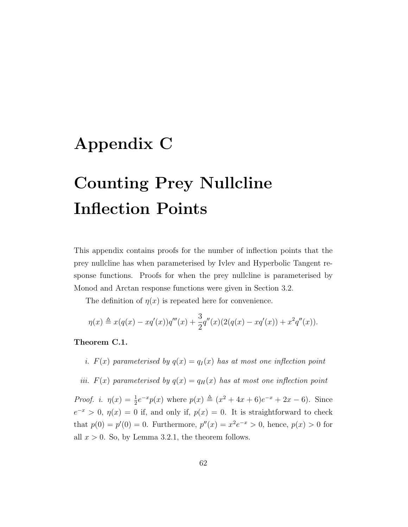## Appendix C

# Counting Prey Nullcline Inflection Points

This appendix contains proofs for the number of inflection points that the prey nullcline has when parameterised by Ivlev and Hyperbolic Tangent response functions. Proofs for when the prey nullcline is parameterised by Monod and Arctan response functions were given in Section 3.2.

The definition of  $\eta(x)$  is repeated here for convenience.

$$
\eta(x) \triangleq x(q(x) - xq'(x))q'''(x) + \frac{3}{2}q''(x)(2(q(x) - xq'(x)) + x^2q''(x)).
$$

#### Theorem C.1.

i.  $F(x)$  parameterised by  $q(x) = q_I(x)$  has at most one inflection point

iii.  $F(x)$  parameterised by  $q(x) = q_H(x)$  has at most one inflection point

*Proof. i.*  $\eta(x) = \frac{1}{2}e^{-x}p(x)$  where  $p(x) \triangleq (x^2 + 4x + 6)e^{-x} + 2x - 6$ . Since  $e^{-x} > 0$ ,  $\eta(x) = 0$  if, and only if,  $p(x) = 0$ . It is straightforward to check that  $p(0) = p'(0) = 0$ . Furthermore,  $p''(x) = x^2 e^{-x} > 0$ , hence,  $p(x) > 0$  for all  $x > 0$ . So, by Lemma 3.2.1, the theorem follows.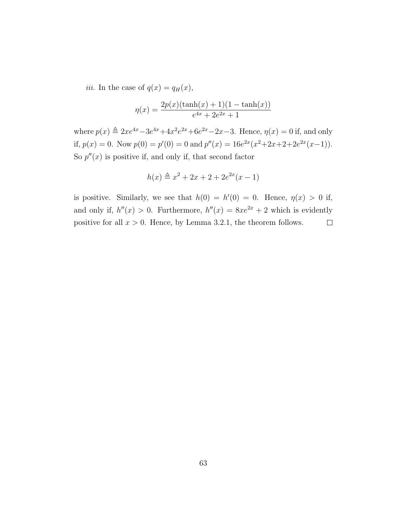*iii.* In the case of  $q(x) = q_H(x)$ ,

$$
\eta(x) = \frac{2p(x)(\tanh(x) + 1)(1 - \tanh(x))}{e^{4x} + 2e^{2x} + 1}
$$

where  $p(x) \triangleq 2xe^{4x} - 3e^{4x} + 4x^2e^{2x} + 6e^{2x} - 2x - 3$ . Hence,  $q(x) = 0$  if, and only if,  $p(x) = 0$ . Now  $p(0) = p'(0) = 0$  and  $p''(x) = 16e^{2x}(x^2+2x+2+2e^{2x}(x-1))$ . So  $p''(x)$  is positive if, and only if, that second factor

$$
h(x) \triangleq x^2 + 2x + 2 + 2e^{2x}(x - 1)
$$

is positive. Similarly, we see that  $h(0) = h'(0) = 0$ . Hence,  $\eta(x) > 0$  if, and only if,  $h''(x) > 0$ . Furthermore,  $h''(x) = 8xe^{2x} + 2$  which is evidently positive for all  $x > 0$ . Hence, by Lemma 3.2.1, the theorem follows.  $\Box$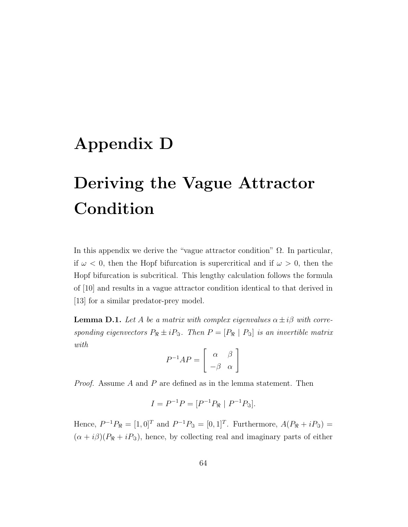## Appendix D

## Deriving the Vague Attractor Condition

In this appendix we derive the "vague attractor condition"  $\Omega$ . In particular, if  $\omega$  < 0, then the Hopf bifurcation is supercritical and if  $\omega > 0$ , then the Hopf bifurcation is subcritical. This lengthy calculation follows the formula of [10] and results in a vague attractor condition identical to that derived in [13] for a similar predator-prey model.

**Lemma D.1.** Let A be a matrix with complex eigenvalues  $\alpha \pm i\beta$  with corresponding eigenvectors  $P_{\Re} \pm i P_{\Im}$ . Then  $P = [P_{\Re} | P_{\Im}]$  is an invertible matrix with

$$
P^{-1}AP = \left[ \begin{array}{cc} \alpha & \beta \\ -\beta & \alpha \end{array} \right]
$$

Proof. Assume A and P are defined as in the lemma statement. Then

$$
I = P^{-1}P = [P^{-1}P_{\Re} \mid P^{-1}P_{\Im}].
$$

Hence,  $P^{-1}P_{\Re} = [1, 0]^T$  and  $P^{-1}P_{\Im} = [0, 1]^T$ . Furthermore,  $A(P_{\Re} + iP_{\Im}) =$  $(\alpha + i\beta)(P_{\Re} + iP_{\Im}),$  hence, by collecting real and imaginary parts of either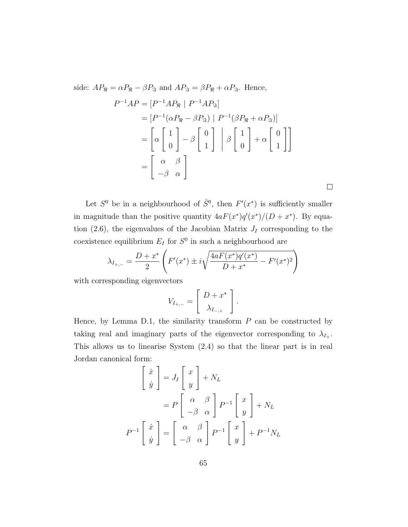side:  $AP_{\Re} = \alpha P_{\Re} - \beta P_{\Im}$  and  $AP_{\Im} = \beta P_{\Re} + \alpha P_{\Im}$ . Hence,  $P^{-1}AP = [P^{-1}AP_{\Re} \mid P^{-1}AP_{\Im}]$  $= [P^{-1}(\alpha P_{\Re} - \beta P_{\Im}) | P^{-1}(\beta P_{\Re} + \alpha P_{\Im})]$ =  $\lceil$ α  $\lceil 1 \rceil$ 0 1  $-\beta$  $\begin{bmatrix} 0 \end{bmatrix}$ 1  $\Bigg] \ \ \Bigg|$ β  $\lceil 1 \rceil$ 0 1  $+$   $\alpha$  $\begin{bmatrix} 0 \end{bmatrix}$ 1 11 =  $\left[\begin{array}{cc} \alpha & \beta \\ -\beta & \alpha \end{array}\right]$ 

Let  $S^0$  be in a neighbourhood of  $\hat{S}^0$ , then  $F'(x^*)$  is sufficiently smaller in magnitude than the positive quantity  $4aF(x^*)q'(x^*)/(D+x^*)$ . By equation (2.6), the eigenvalues of the Jacobian Matrix  $J_I$  corresponding to the coexistence equilibrium  $E_I$  for  $S^0$  in such a neighbourhood are

 $\Box$ 

$$
\lambda_{I_{+,-}} = \frac{D + x^*}{2} \left( F'(x^*) \pm i \sqrt{\frac{4 a F(x^*) q'(x^*)}{D + x^*} - F'(x^*)^2} \right)
$$

with corresponding eigenvectors

$$
V_{I_{+,-}} = \left[ \begin{array}{c} D + x^* \\ \lambda_{I_{-,+}} \end{array} \right].
$$

Hence, by Lemma D.1, the similarity transform  $P$  can be constructed by taking real and imaginary parts of the eigenvector corresponding to  $\lambda_{I_+}$ . This allows us to linearise System (2.4) so that the linear part is in real Jordan canonical form:

$$
\begin{bmatrix} \dot{x} \\ \dot{y} \end{bmatrix} = J_I \begin{bmatrix} x \\ y \end{bmatrix} + N_L
$$

$$
= P \begin{bmatrix} \alpha & \beta \\ -\beta & \alpha \end{bmatrix} P^{-1} \begin{bmatrix} x \\ y \end{bmatrix} + N_L
$$

$$
P^{-1} \begin{bmatrix} \dot{x} \\ \dot{y} \end{bmatrix} = \begin{bmatrix} \alpha & \beta \\ -\beta & \alpha \end{bmatrix} P^{-1} \begin{bmatrix} x \\ y \end{bmatrix} + P^{-1} N_L
$$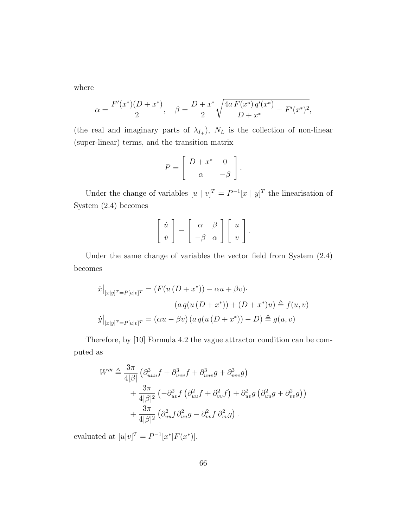where

$$
\alpha = \frac{F'(x^*)(D+x^*)}{2}, \quad \beta = \frac{D+x^*}{2}\sqrt{\frac{4a F(x^*) q'(x^*)}{D+x^*} - F'(x^*)^2},
$$

(the real and imaginary parts of  $\lambda_{I_+}$ ),  $N_L$  is the collection of non-linear (super-linear) terms, and the transition matrix

$$
P = \left[ \begin{array}{c|c} D + x^* & 0 \\ \alpha & -\beta \end{array} \right].
$$

Under the change of variables  $[u \mid v]^T = P^{-1}[x \mid y]^T$  the linearisation of System (2.4) becomes

$$
\begin{bmatrix} \dot{u} \\ \dot{v} \end{bmatrix} = \begin{bmatrix} \alpha & \beta \\ -\beta & \alpha \end{bmatrix} \begin{bmatrix} u \\ v \end{bmatrix}.
$$

Under the same change of variables the vector field from System (2.4) becomes

$$
\begin{aligned}\n\dot{x}\big|_{[x|y]^T = P[u|v]^T} &= \left(F(u\left(D + x^*\right)) - \alpha u + \beta v\right) \\
&\quad (a\,q(u\left(D + x^*\right)) + \left(D + x^*\right)u) \triangleq f(u,v) \\
\dot{y}\big|_{[x|y]^T = P[u|v]^T} &= \left(\alpha u - \beta v\right)\left(a\,q(u\left(D + x^*\right)) - D\right) \triangleq g(u,v)\n\end{aligned}
$$

Therefore, by [10] Formula 4.2 the vague attractor condition can be computed as

$$
W''' \triangleq \frac{3\pi}{4|\beta|} \left( \partial_{uuu}^3 f + \partial_{uvv}^3 f + \partial_{uuv}^3 g + \partial_{vvv}^3 g \right)
$$
  
+ 
$$
\frac{3\pi}{4|\beta|^2} \left( -\partial_{uv}^2 f \left( \partial_{uu}^2 f + \partial_{vv}^2 f \right) + \partial_{uv}^2 g \left( \partial_{uu}^2 g + \partial_{vv}^2 g \right) \right)
$$
  
+ 
$$
\frac{3\pi}{4|\beta|^2} \left( \partial_{uu}^2 f \partial_{uu}^2 g - \partial_{vv}^2 f \partial_{vv}^2 g \right).
$$

evaluated at  $[u|v]^T = P^{-1}[x^*|F(x^*)].$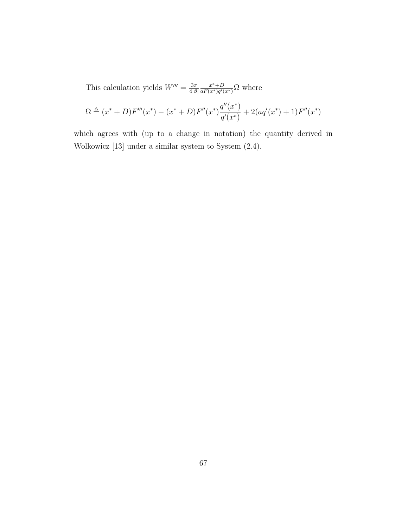This calculation yields  $W''' = \frac{3\pi}{418}$  $4|\beta|$  $x^*+D$  $\frac{x^*+D}{aF(x^*)q'(x^*)}\Omega$  where

$$
\Omega \triangleq (x^* + D)F'''(x^*) - (x^* + D)F''(x^*)\frac{q''(x^*)}{q'(x^*)} + 2(aq'(x^*) + 1)F''(x^*)
$$

which agrees with (up to a change in notation) the quantity derived in Wolkowicz [13] under a similar system to System (2.4).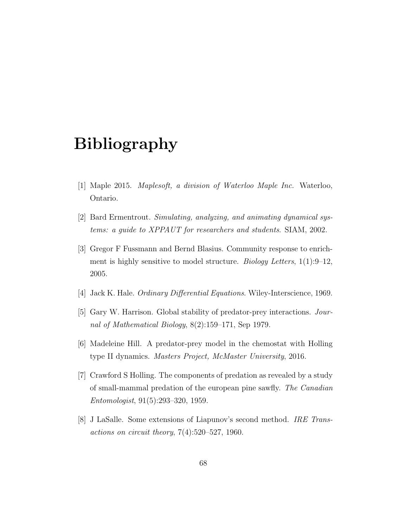## Bibliography

- [1] Maple 2015. Maplesoft, a division of Waterloo Maple Inc. Waterloo, Ontario.
- [2] Bard Ermentrout. Simulating, analyzing, and animating dynamical systems: a guide to XPPAUT for researchers and students. SIAM, 2002.
- [3] Gregor F Fussmann and Bernd Blasius. Community response to enrichment is highly sensitive to model structure. *Biology Letters*,  $1(1):9-12$ , 2005.
- [4] Jack K. Hale. *Ordinary Differential Equations*. Wiley-Interscience, 1969.
- [5] Gary W. Harrison. Global stability of predator-prey interactions. Journal of Mathematical Biology, 8(2):159–171, Sep 1979.
- [6] Madeleine Hill. A predator-prey model in the chemostat with Holling type II dynamics. Masters Project, McMaster University, 2016.
- [7] Crawford S Holling. The components of predation as revealed by a study of small-mammal predation of the european pine sawfly. The Canadian Entomologist, 91(5):293–320, 1959.
- [8] J LaSalle. Some extensions of Liapunov's second method. IRE Transactions on circuit theory,  $7(4):520-527$ , 1960.